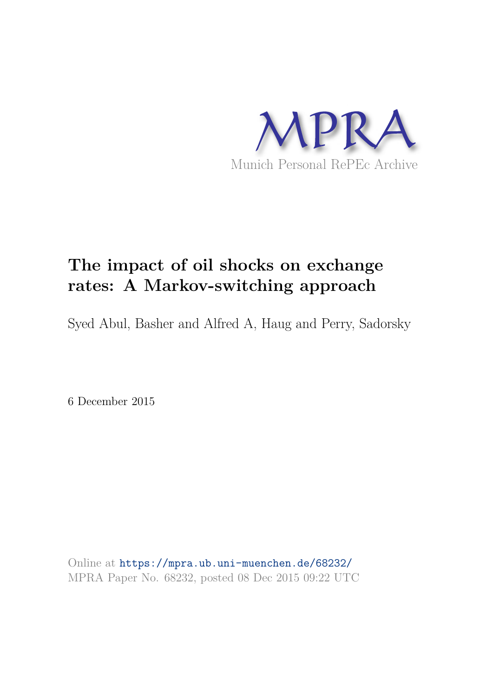

# **The impact of oil shocks on exchange rates: A Markov-switching approach**

Syed Abul, Basher and Alfred A, Haug and Perry, Sadorsky

6 December 2015

Online at https://mpra.ub.uni-muenchen.de/68232/ MPRA Paper No. 68232, posted 08 Dec 2015 09:22 UTC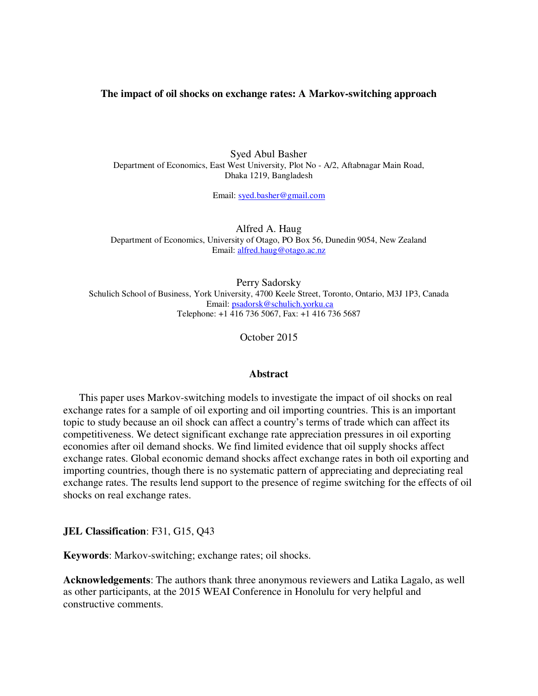# **The impact of oil shocks on exchange rates: A Markov-switching approach**

Syed Abul Basher Department of Economics, East West University, Plot No - A/2, Aftabnagar Main Road, Dhaka 1219, Bangladesh

Email: [syed.basher@gmail.com](mailto:syed.basher@gmail.com) 

Alfred A. Haug Department of Economics, University of Otago, PO Box 56, Dunedin 9054, New Zealand Email: [alfred.haug@otago.ac.nz](mailto:alfred.haug@otago.ac.nz) 

Perry Sadorsky Schulich School of Business, York University, 4700 Keele Street, Toronto, Ontario, M3J 1P3, Canada Email: [psadorsk@schulich.yorku.ca](mailto:psadorsk@schulich.yorku.ca) Telephone: +1 416 736 5067, Fax: +1 416 736 5687

October 2015

#### **Abstract**

This paper uses Markov-switching models to investigate the impact of oil shocks on real exchange rates for a sample of oil exporting and oil importing countries. This is an important topic to study because an oil shock can affect a country's terms of trade which can affect its competitiveness. We detect significant exchange rate appreciation pressures in oil exporting economies after oil demand shocks. We find limited evidence that oil supply shocks affect exchange rates. Global economic demand shocks affect exchange rates in both oil exporting and importing countries, though there is no systematic pattern of appreciating and depreciating real exchange rates. The results lend support to the presence of regime switching for the effects of oil shocks on real exchange rates.

**JEL Classification**: F31, G15, Q43

**Keywords**: Markov-switching; exchange rates; oil shocks.

**Acknowledgements**: The authors thank three anonymous reviewers and Latika Lagalo, as well as other participants, at the 2015 WEAI Conference in Honolulu for very helpful and constructive comments.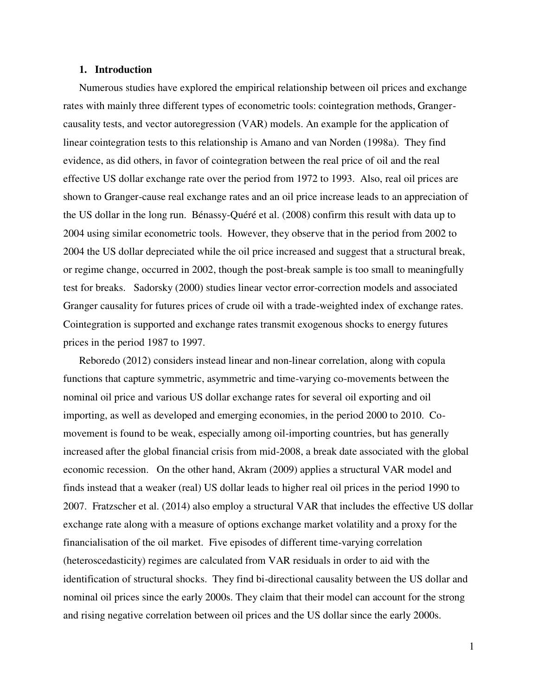# **1. Introduction**

Numerous studies have explored the empirical relationship between oil prices and exchange rates with mainly three different types of econometric tools: cointegration methods, Grangercausality tests, and vector autoregression (VAR) models. An example for the application of linear cointegration tests to this relationship is Amano and van Norden (1998a). They find evidence, as did others, in favor of cointegration between the real price of oil and the real effective US dollar exchange rate over the period from 1972 to 1993. Also, real oil prices are shown to Granger-cause real exchange rates and an oil price increase leads to an appreciation of the US dollar in the long run. Bénassy-Quéré et al. (2008) confirm this result with data up to 2004 using similar econometric tools. However, they observe that in the period from 2002 to 2004 the US dollar depreciated while the oil price increased and suggest that a structural break, or regime change, occurred in 2002, though the post-break sample is too small to meaningfully test for breaks. Sadorsky (2000) studies linear vector error-correction models and associated Granger causality for futures prices of crude oil with a trade-weighted index of exchange rates. Cointegration is supported and exchange rates transmit exogenous shocks to energy futures prices in the period 1987 to 1997.

Reboredo (2012) considers instead linear and non-linear correlation, along with copula functions that capture symmetric, asymmetric and time-varying co-movements between the nominal oil price and various US dollar exchange rates for several oil exporting and oil importing, as well as developed and emerging economies, in the period 2000 to 2010. Comovement is found to be weak, especially among oil-importing countries, but has generally increased after the global financial crisis from mid-2008, a break date associated with the global economic recession. On the other hand, Akram (2009) applies a structural VAR model and finds instead that a weaker (real) US dollar leads to higher real oil prices in the period 1990 to 2007. Fratzscher et al. (2014) also employ a structural VAR that includes the effective US dollar exchange rate along with a measure of options exchange market volatility and a proxy for the financialisation of the oil market. Five episodes of different time-varying correlation (heteroscedasticity) regimes are calculated from VAR residuals in order to aid with the identification of structural shocks. They find bi-directional causality between the US dollar and nominal oil prices since the early 2000s. They claim that their model can account for the strong and rising negative correlation between oil prices and the US dollar since the early 2000s.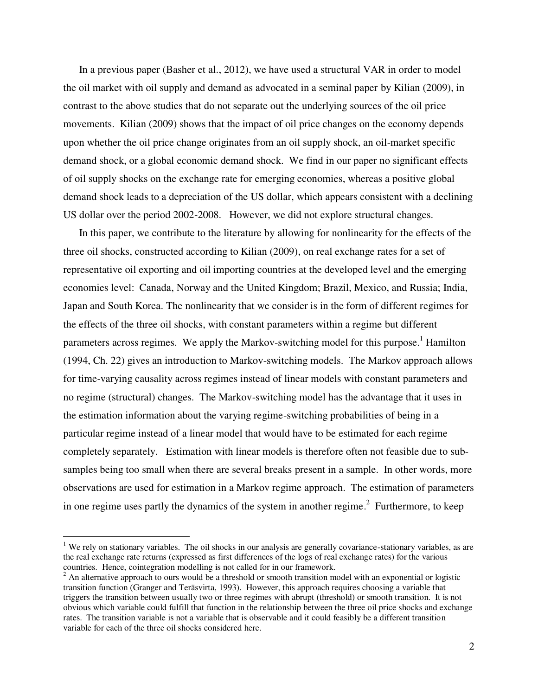In a previous paper (Basher et al., 2012), we have used a structural VAR in order to model the oil market with oil supply and demand as advocated in a seminal paper by Kilian (2009), in contrast to the above studies that do not separate out the underlying sources of the oil price movements. Kilian (2009) shows that the impact of oil price changes on the economy depends upon whether the oil price change originates from an oil supply shock, an oil-market specific demand shock, or a global economic demand shock. We find in our paper no significant effects of oil supply shocks on the exchange rate for emerging economies, whereas a positive global demand shock leads to a depreciation of the US dollar, which appears consistent with a declining US dollar over the period 2002-2008. However, we did not explore structural changes.

In this paper, we contribute to the literature by allowing for nonlinearity for the effects of the three oil shocks, constructed according to Kilian (2009), on real exchange rates for a set of representative oil exporting and oil importing countries at the developed level and the emerging economies level: Canada, Norway and the United Kingdom; Brazil, Mexico, and Russia; India, Japan and South Korea. The nonlinearity that we consider is in the form of different regimes for the effects of the three oil shocks, with constant parameters within a regime but different parameters across regimes. We apply the Markov-switching model for this purpose.<sup>1</sup> Hamilton (1994, Ch. 22) gives an introduction to Markov-switching models. The Markov approach allows for time-varying causality across regimes instead of linear models with constant parameters and no regime (structural) changes. The Markov-switching model has the advantage that it uses in the estimation information about the varying regime-switching probabilities of being in a particular regime instead of a linear model that would have to be estimated for each regime completely separately. Estimation with linear models is therefore often not feasible due to subsamples being too small when there are several breaks present in a sample. In other words, more observations are used for estimation in a Markov regime approach. The estimation of parameters in one regime uses partly the dynamics of the system in another regime.<sup>2</sup> Furthermore, to keep

 $1$  We rely on stationary variables. The oil shocks in our analysis are generally covariance-stationary variables, as are the real exchange rate returns (expressed as first differences of the logs of real exchange rates) for the various countries. Hence, cointegration modelling is not called for in our framework.

 $2$  An alternative approach to ours would be a threshold or smooth transition model with an exponential or logistic transition function (Granger and Teräsvirta, 1993). However, this approach requires choosing a variable that triggers the transition between usually two or three regimes with abrupt (threshold) or smooth transition. It is not obvious which variable could fulfill that function in the relationship between the three oil price shocks and exchange rates. The transition variable is not a variable that is observable and it could feasibly be a different transition variable for each of the three oil shocks considered here.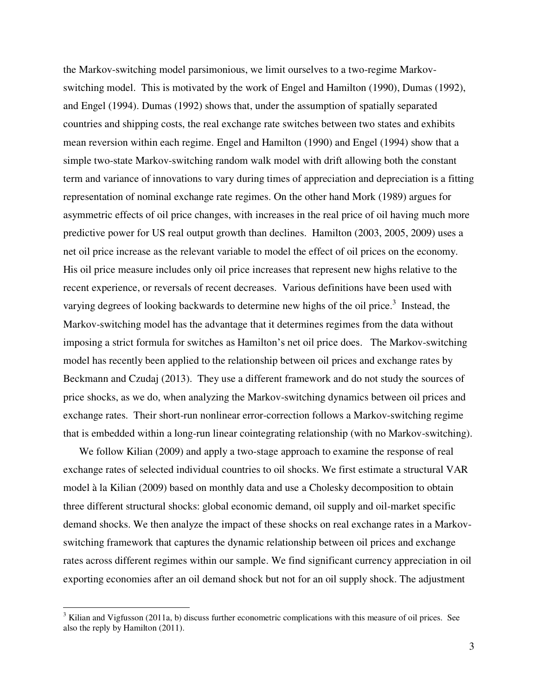the Markov-switching model parsimonious, we limit ourselves to a two-regime Markovswitching model. This is motivated by the work of Engel and Hamilton (1990), Dumas (1992), and Engel (1994). Dumas (1992) shows that, under the assumption of spatially separated countries and shipping costs, the real exchange rate switches between two states and exhibits mean reversion within each regime. Engel and Hamilton (1990) and Engel (1994) show that a simple two-state Markov-switching random walk model with drift allowing both the constant term and variance of innovations to vary during times of appreciation and depreciation is a fitting representation of nominal exchange rate regimes. On the other hand Mork (1989) argues for asymmetric effects of oil price changes, with increases in the real price of oil having much more predictive power for US real output growth than declines. Hamilton (2003, 2005, 2009) uses a net oil price increase as the relevant variable to model the effect of oil prices on the economy. His oil price measure includes only oil price increases that represent new highs relative to the recent experience, or reversals of recent decreases. Various definitions have been used with varying degrees of looking backwards to determine new highs of the oil price.<sup>3</sup> Instead, the Markov-switching model has the advantage that it determines regimes from the data without imposing a strict formula for switches as Hamilton's net oil price does. The Markov-switching model has recently been applied to the relationship between oil prices and exchange rates by Beckmann and Czudaj (2013). They use a different framework and do not study the sources of price shocks, as we do, when analyzing the Markov-switching dynamics between oil prices and exchange rates. Their short-run nonlinear error-correction follows a Markov-switching regime that is embedded within a long-run linear cointegrating relationship (with no Markov-switching).

We follow Kilian (2009) and apply a two-stage approach to examine the response of real exchange rates of selected individual countries to oil shocks. We first estimate a structural VAR model à la Kilian (2009) based on monthly data and use a Cholesky decomposition to obtain three different structural shocks: global economic demand, oil supply and oil-market specific demand shocks. We then analyze the impact of these shocks on real exchange rates in a Markovswitching framework that captures the dynamic relationship between oil prices and exchange rates across different regimes within our sample. We find significant currency appreciation in oil exporting economies after an oil demand shock but not for an oil supply shock. The adjustment

 $3$  Kilian and Vigfusson (2011a, b) discuss further econometric complications with this measure of oil prices. See also the reply by Hamilton (2011).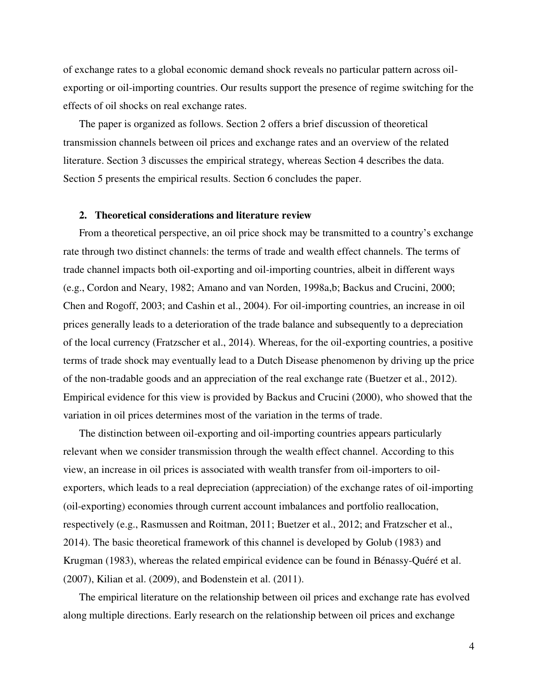of exchange rates to a global economic demand shock reveals no particular pattern across oilexporting or oil-importing countries. Our results support the presence of regime switching for the effects of oil shocks on real exchange rates.

The paper is organized as follows. Section 2 offers a brief discussion of theoretical transmission channels between oil prices and exchange rates and an overview of the related literature. Section 3 discusses the empirical strategy, whereas Section 4 describes the data. Section 5 presents the empirical results. Section 6 concludes the paper.

# **2. Theoretical considerations and literature review**

From a theoretical perspective, an oil price shock may be transmitted to a country's exchange rate through two distinct channels: the terms of trade and wealth effect channels. The terms of trade channel impacts both oil-exporting and oil-importing countries, albeit in different ways (e.g., Cordon and Neary, 1982; Amano and van Norden, 1998a,b; Backus and Crucini, 2000; Chen and Rogoff, 2003; and Cashin et al., 2004). For oil-importing countries, an increase in oil prices generally leads to a deterioration of the trade balance and subsequently to a depreciation of the local currency (Fratzscher et al., 2014). Whereas, for the oil-exporting countries, a positive terms of trade shock may eventually lead to a Dutch Disease phenomenon by driving up the price of the non-tradable goods and an appreciation of the real exchange rate (Buetzer et al., 2012). Empirical evidence for this view is provided by Backus and Crucini (2000), who showed that the variation in oil prices determines most of the variation in the terms of trade.

The distinction between oil-exporting and oil-importing countries appears particularly relevant when we consider transmission through the wealth effect channel. According to this view, an increase in oil prices is associated with wealth transfer from oil-importers to oilexporters, which leads to a real depreciation (appreciation) of the exchange rates of oil-importing (oil-exporting) economies through current account imbalances and portfolio reallocation, respectively (e.g., Rasmussen and Roitman, 2011; Buetzer et al., 2012; and Fratzscher et al., 2014). The basic theoretical framework of this channel is developed by Golub (1983) and Krugman (1983), whereas the related empirical evidence can be found in Bénassy-Quéré et al. (2007), Kilian et al. (2009), and Bodenstein et al. (2011).

The empirical literature on the relationship between oil prices and exchange rate has evolved along multiple directions. Early research on the relationship between oil prices and exchange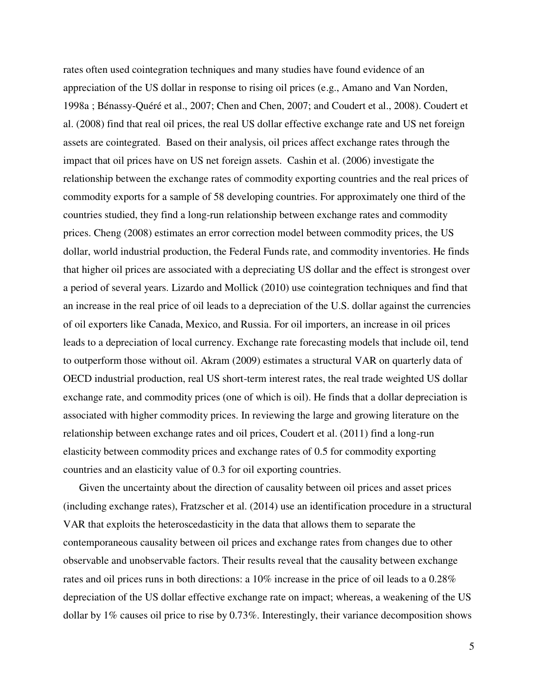rates often used cointegration techniques and many studies have found evidence of an appreciation of the US dollar in response to rising oil prices (e.g., Amano and Van Norden, 1998a ; Bénassy-Quéré et al., 2007; Chen and Chen, 2007; and Coudert et al., 2008). Coudert et al. (2008) find that real oil prices, the real US dollar effective exchange rate and US net foreign assets are cointegrated. Based on their analysis, oil prices affect exchange rates through the impact that oil prices have on US net foreign assets. Cashin et al. (2006) investigate the relationship between the exchange rates of commodity exporting countries and the real prices of commodity exports for a sample of 58 developing countries. For approximately one third of the countries studied, they find a long-run relationship between exchange rates and commodity prices. Cheng (2008) estimates an error correction model between commodity prices, the US dollar, world industrial production, the Federal Funds rate, and commodity inventories. He finds that higher oil prices are associated with a depreciating US dollar and the effect is strongest over a period of several years. Lizardo and Mollick (2010) use cointegration techniques and find that an increase in the real price of oil leads to a depreciation of the U.S. dollar against the currencies of oil exporters like Canada, Mexico, and Russia. For oil importers, an increase in oil prices leads to a depreciation of local currency. Exchange rate forecasting models that include oil, tend to outperform those without oil. Akram (2009) estimates a structural VAR on quarterly data of OECD industrial production, real US short-term interest rates, the real trade weighted US dollar exchange rate, and commodity prices (one of which is oil). He finds that a dollar depreciation is associated with higher commodity prices. In reviewing the large and growing literature on the relationship between exchange rates and oil prices, Coudert et al. (2011) find a long-run elasticity between commodity prices and exchange rates of 0.5 for commodity exporting countries and an elasticity value of 0.3 for oil exporting countries.

Given the uncertainty about the direction of causality between oil prices and asset prices (including exchange rates), Fratzscher et al. (2014) use an identification procedure in a structural VAR that exploits the heteroscedasticity in the data that allows them to separate the contemporaneous causality between oil prices and exchange rates from changes due to other observable and unobservable factors. Their results reveal that the causality between exchange rates and oil prices runs in both directions: a 10% increase in the price of oil leads to a 0.28% depreciation of the US dollar effective exchange rate on impact; whereas, a weakening of the US dollar by 1% causes oil price to rise by 0.73%. Interestingly, their variance decomposition shows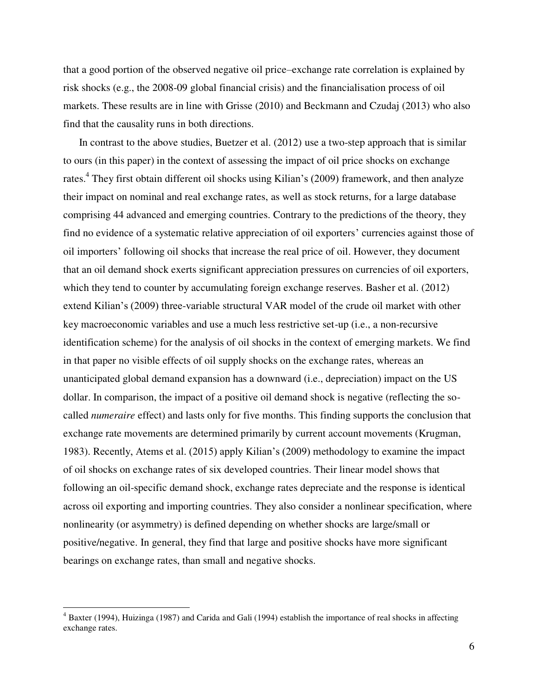that a good portion of the observed negative oil price–exchange rate correlation is explained by risk shocks (e.g., the 2008-09 global financial crisis) and the financialisation process of oil markets. These results are in line with Grisse (2010) and Beckmann and Czudaj (2013) who also find that the causality runs in both directions.

In contrast to the above studies, Buetzer et al. (2012) use a two-step approach that is similar to ours (in this paper) in the context of assessing the impact of oil price shocks on exchange rates.<sup>4</sup> They first obtain different oil shocks using Kilian's (2009) framework, and then analyze their impact on nominal and real exchange rates, as well as stock returns, for a large database comprising 44 advanced and emerging countries. Contrary to the predictions of the theory, they find no evidence of a systematic relative appreciation of oil exporters' currencies against those of oil importers' following oil shocks that increase the real price of oil. However, they document that an oil demand shock exerts significant appreciation pressures on currencies of oil exporters, which they tend to counter by accumulating foreign exchange reserves. Basher et al. (2012) extend Kilian's (2009) three-variable structural VAR model of the crude oil market with other key macroeconomic variables and use a much less restrictive set-up (i.e., a non-recursive identification scheme) for the analysis of oil shocks in the context of emerging markets. We find in that paper no visible effects of oil supply shocks on the exchange rates, whereas an unanticipated global demand expansion has a downward (i.e., depreciation) impact on the US dollar. In comparison, the impact of a positive oil demand shock is negative (reflecting the socalled *numeraire* effect) and lasts only for five months. This finding supports the conclusion that exchange rate movements are determined primarily by current account movements (Krugman, 1983). Recently, Atems et al. (2015) apply Kilian's (2009) methodology to examine the impact of oil shocks on exchange rates of six developed countries. Their linear model shows that following an oil-specific demand shock, exchange rates depreciate and the response is identical across oil exporting and importing countries. They also consider a nonlinear specification, where nonlinearity (or asymmetry) is defined depending on whether shocks are large/small or positive/negative. In general, they find that large and positive shocks have more significant bearings on exchange rates, than small and negative shocks.

<sup>&</sup>lt;sup>4</sup> Baxter (1994), Huizinga (1987) and Carida and Gali (1994) establish the importance of real shocks in affecting exchange rates.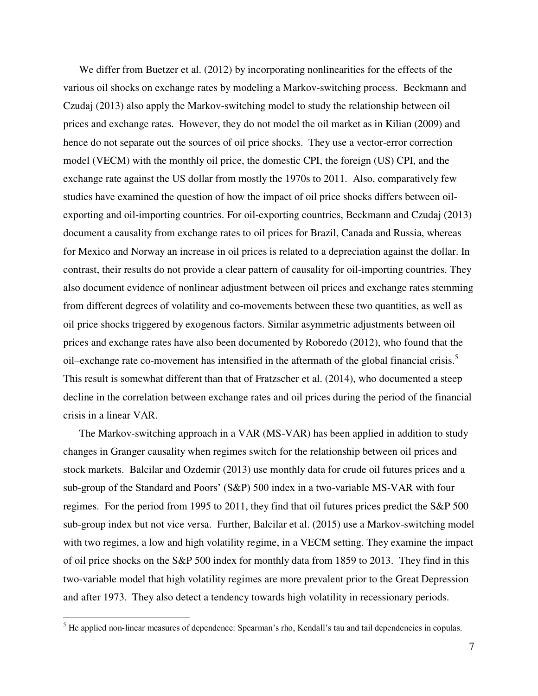We differ from Buetzer et al. (2012) by incorporating nonlinearities for the effects of the various oil shocks on exchange rates by modeling a Markov-switching process. Beckmann and Czudaj (2013) also apply the Markov-switching model to study the relationship between oil prices and exchange rates. However, they do not model the oil market as in Kilian (2009) and hence do not separate out the sources of oil price shocks. They use a vector-error correction model (VECM) with the monthly oil price, the domestic CPI, the foreign (US) CPI, and the exchange rate against the US dollar from mostly the 1970s to 2011. Also, comparatively few studies have examined the question of how the impact of oil price shocks differs between oilexporting and oil-importing countries. For oil-exporting countries, Beckmann and Czudaj (2013) document a causality from exchange rates to oil prices for Brazil, Canada and Russia, whereas for Mexico and Norway an increase in oil prices is related to a depreciation against the dollar. In contrast, their results do not provide a clear pattern of causality for oil-importing countries. They also document evidence of nonlinear adjustment between oil prices and exchange rates stemming from different degrees of volatility and co-movements between these two quantities, as well as oil price shocks triggered by exogenous factors. Similar asymmetric adjustments between oil prices and exchange rates have also been documented by Roboredo (2012), who found that the oil–exchange rate co-movement has intensified in the aftermath of the global financial crisis.<sup>5</sup> This result is somewhat different than that of Fratzscher et al. (2014), who documented a steep decline in the correlation between exchange rates and oil prices during the period of the financial crisis in a linear VAR.

The Markov-switching approach in a VAR (MS-VAR) has been applied in addition to study changes in Granger causality when regimes switch for the relationship between oil prices and stock markets. Balcilar and Ozdemir (2013) use monthly data for crude oil futures prices and a sub-group of the Standard and Poors' (S&P) 500 index in a two-variable MS-VAR with four regimes. For the period from 1995 to 2011, they find that oil futures prices predict the S&P 500 sub-group index but not vice versa. Further, Balcilar et al. (2015) use a Markov-switching model with two regimes, a low and high volatility regime, in a VECM setting. They examine the impact of oil price shocks on the S&P 500 index for monthly data from 1859 to 2013. They find in this two-variable model that high volatility regimes are more prevalent prior to the Great Depression and after 1973. They also detect a tendency towards high volatility in recessionary periods.

<sup>&</sup>lt;sup>5</sup> He applied non-linear measures of dependence: Spearman's rho, Kendall's tau and tail dependencies in copulas.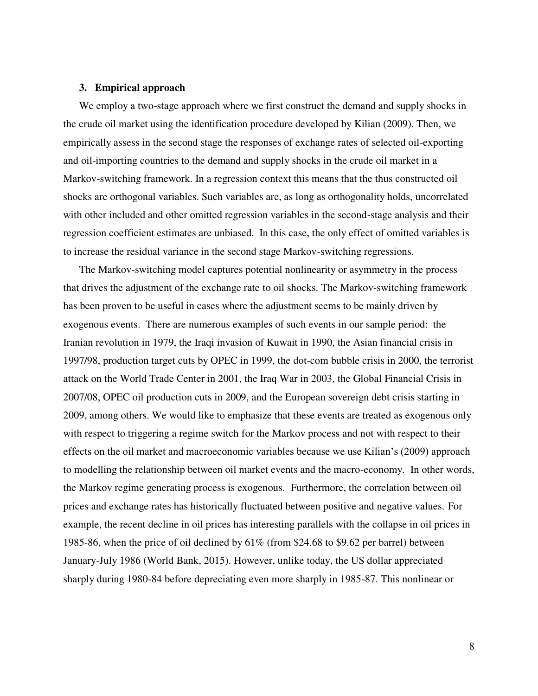## **3. Empirical approach**

We employ a two-stage approach where we first construct the demand and supply shocks in the crude oil market using the identification procedure developed by Kilian (2009). Then, we empirically assess in the second stage the responses of exchange rates of selected oil-exporting and oil-importing countries to the demand and supply shocks in the crude oil market in a Markov-switching framework. In a regression context this means that the thus constructed oil shocks are orthogonal variables. Such variables are, as long as orthogonality holds, uncorrelated with other included and other omitted regression variables in the second-stage analysis and their regression coefficient estimates are unbiased. In this case, the only effect of omitted variables is to increase the residual variance in the second stage Markov-switching regressions.

The Markov-switching model captures potential nonlinearity or asymmetry in the process that drives the adjustment of the exchange rate to oil shocks. The Markov-switching framework has been proven to be useful in cases where the adjustment seems to be mainly driven by exogenous events. There are numerous examples of such events in our sample period: the Iranian revolution in 1979, the Iraqi invasion of Kuwait in 1990, the Asian financial crisis in 1997/98, production target cuts by OPEC in 1999, the dot-com bubble crisis in 2000, the terrorist attack on the World Trade Center in 2001, the Iraq War in 2003, the Global Financial Crisis in 2007/08, OPEC oil production cuts in 2009, and the European sovereign debt crisis starting in 2009, among others. We would like to emphasize that these events are treated as exogenous only with respect to triggering a regime switch for the Markov process and not with respect to their effects on the oil market and macroeconomic variables because we use Kilian's (2009) approach to modelling the relationship between oil market events and the macro-economy. In other words, the Markov regime generating process is exogenous. Furthermore, the correlation between oil prices and exchange rates has historically fluctuated between positive and negative values. For example, the recent decline in oil prices has interesting parallels with the collapse in oil prices in 1985-86, when the price of oil declined by 61% (from \$24.68 to \$9.62 per barrel) between January-July 1986 (World Bank, 2015). However, unlike today, the US dollar appreciated sharply during 1980-84 before depreciating even more sharply in 1985-87. This nonlinear or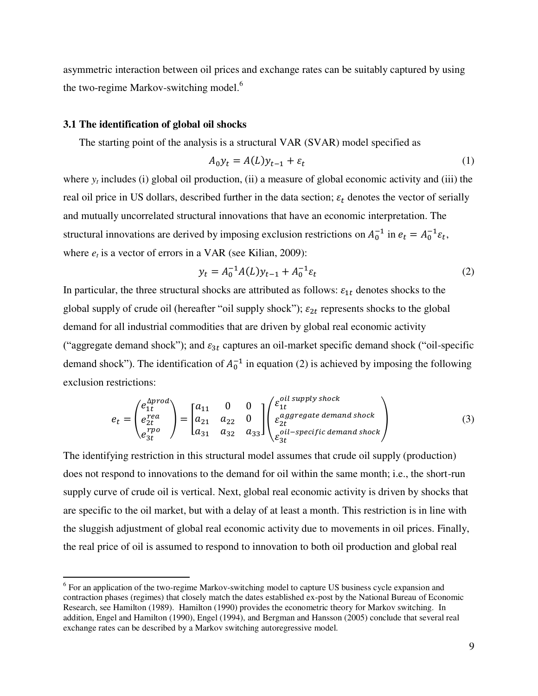asymmetric interaction between oil prices and exchange rates can be suitably captured by using the two-regime Markov-switching model.<sup>6</sup>

## **3.1 The identification of global oil shocks**

 $\overline{a}$ 

The starting point of the analysis is a structural VAR (SVAR) model specified as

$$
A_0 y_t = A(L) y_{t-1} + \varepsilon_t \tag{1}
$$

where  $y_t$  includes (i) global oil production, (ii) a measure of global economic activity and (iii) the real oil price in US dollars, described further in the data section;  $\varepsilon_t$  denotes the vector of serially and mutually uncorrelated structural innovations that have an economic interpretation. The structural innovations are derived by imposing exclusion restrictions on  $A_0^{-1}$  in  $e_t = A_0^{-1} \varepsilon_t$ , where  $e_t$  is a vector of errors in a VAR (see Kilian, 2009):

$$
y_t = A_0^{-1} A(L) y_{t-1} + A_0^{-1} \varepsilon_t \tag{2}
$$

In particular, the three structural shocks are attributed as follows:  $\varepsilon_{1t}$  denotes shocks to the global supply of crude oil (hereafter "oil supply shock");  $\varepsilon_{2t}$  represents shocks to the global demand for all industrial commodities that are driven by global real economic activity ("aggregate demand shock"); and  $\varepsilon_{3t}$  captures an oil-market specific demand shock ("oil-specific demand shock"). The identification of  $A_0^{-1}$  in equation (2) is achieved by imposing the following exclusion restrictions:

$$
e_{t} = \begin{pmatrix} e_{1t}^{\Delta prod} \\ e_{2t}^{rea} \\ e_{3t}^{rpo} \end{pmatrix} = \begin{bmatrix} a_{11} & 0 & 0 \\ a_{21} & a_{22} & 0 \\ a_{31} & a_{32} & a_{33} \end{bmatrix} \begin{pmatrix} \varepsilon_{1t}^{oil \, supply \, shock} \\ \varepsilon_{2t}^{aggregate \, demand \, shock} \\ \varepsilon_{3t}^{oil-specific \, demand \, shock} \end{pmatrix}
$$
(3)

The identifying restriction in this structural model assumes that crude oil supply (production) does not respond to innovations to the demand for oil within the same month; i.e., the short-run supply curve of crude oil is vertical. Next, global real economic activity is driven by shocks that are specific to the oil market, but with a delay of at least a month. This restriction is in line with the sluggish adjustment of global real economic activity due to movements in oil prices. Finally, the real price of oil is assumed to respond to innovation to both oil production and global real

<sup>&</sup>lt;sup>6</sup> For an application of the two-regime Markov-switching model to capture US business cycle expansion and contraction phases (regimes) that closely match the dates established ex-post by the National Bureau of Economic Research, see Hamilton (1989). Hamilton (1990) provides the econometric theory for Markov switching. In addition, Engel and Hamilton (1990), Engel (1994), and Bergman and Hansson (2005) conclude that several real exchange rates can be described by a Markov switching autoregressive model.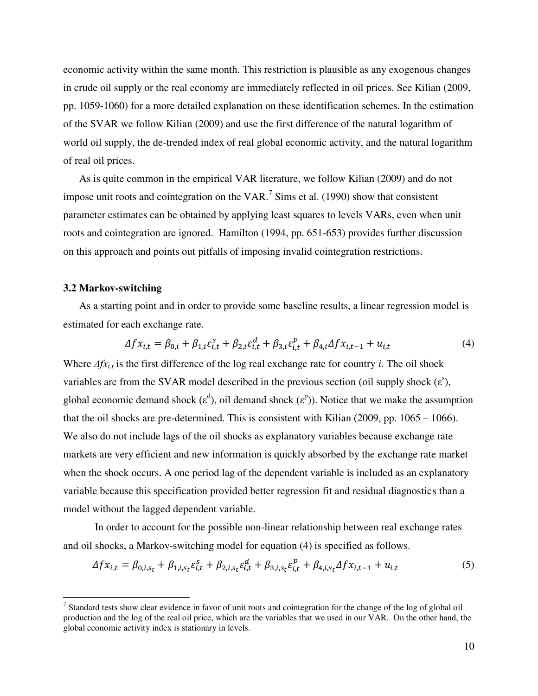economic activity within the same month. This restriction is plausible as any exogenous changes in crude oil supply or the real economy are immediately reflected in oil prices. See Kilian (2009, pp. 1059-1060) for a more detailed explanation on these identification schemes. In the estimation of the SVAR we follow Kilian (2009) and use the first difference of the natural logarithm of world oil supply, the de-trended index of real global economic activity, and the natural logarithm of real oil prices.

As is quite common in the empirical VAR literature, we follow Kilian (2009) and do not impose unit roots and cointegration on the VAR.<sup>7</sup> Sims et al. (1990) show that consistent parameter estimates can be obtained by applying least squares to levels VARs, even when unit roots and cointegration are ignored. Hamilton (1994, pp. 651-653) provides further discussion on this approach and points out pitfalls of imposing invalid cointegration restrictions.

# **3.2 Markov-switching**

 $\overline{a}$ 

As a starting point and in order to provide some baseline results, a linear regression model is estimated for each exchange rate.

$$
\Delta f x_{i,t} = \beta_{0,i} + \beta_{1,i} \varepsilon_{i,t}^s + \beta_{2,i} \varepsilon_{i,t}^d + \beta_{3,i} \varepsilon_{i,t}^p + \beta_{4,i} \Delta f x_{i,t-1} + u_{i,t}
$$
(4)

Where  $\Delta f x_i$  is the first difference of the log real exchange rate for country *i*. The oil shock variables are from the SVAR model described in the previous section (oil supply shock  $(\varepsilon^s)$ , global economic demand shock ( $\varepsilon^d$ ), oil demand shock ( $\varepsilon^p$ )). Notice that we make the assumption that the oil shocks are pre-determined. This is consistent with Kilian  $(2009, pp. 1065 - 1066)$ . We also do not include lags of the oil shocks as explanatory variables because exchange rate markets are very efficient and new information is quickly absorbed by the exchange rate market when the shock occurs. A one period lag of the dependent variable is included as an explanatory variable because this specification provided better regression fit and residual diagnostics than a model without the lagged dependent variable.

In order to account for the possible non-linear relationship between real exchange rates and oil shocks, a Markov-switching model for equation (4) is specified as follows.

$$
\Delta f x_{i,t} = \beta_{0,i,s_t} + \beta_{1,i,s_t} \varepsilon_{i,t}^s + \beta_{2,i,s_t} \varepsilon_{i,t}^d + \beta_{3,i,s_t} \varepsilon_{i,t}^p + \beta_{4,i,s_t} \Delta f x_{i,t-1} + u_{i,t} \tag{5}
$$

<sup>&</sup>lt;sup>7</sup> Standard tests show clear evidence in favor of unit roots and cointegration for the change of the log of global oil production and the log of the real oil price, which are the variables that we used in our VAR. On the other hand, the global economic activity index is stationary in levels.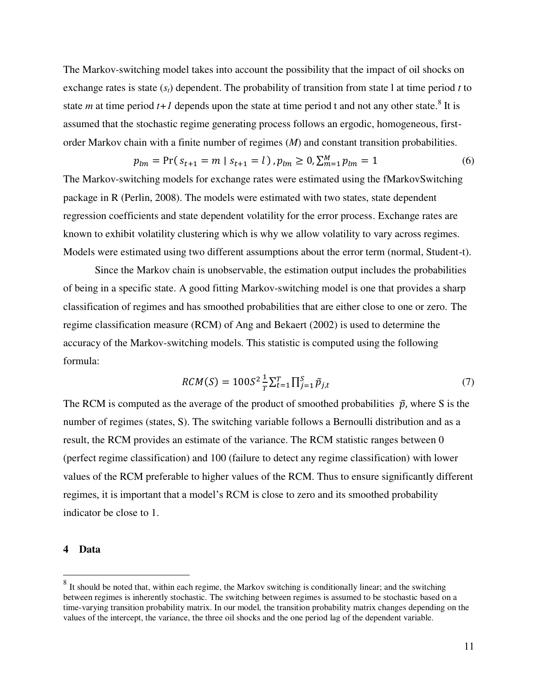The Markov-switching model takes into account the possibility that the impact of oil shocks on exchange rates is state (*st*) dependent. The probability of transition from state l at time period *t* to state *m* at time period  $t+1$  depends upon the state at time period t and not any other state.<sup>8</sup> It is assumed that the stochastic regime generating process follows an ergodic, homogeneous, firstorder Markov chain with a finite number of regimes (*M*) and constant transition probabilities.

$$
p_{lm} = \Pr(s_{t+1} = m \mid s_{t+1} = l), p_{lm} \ge 0, \sum_{m=1}^{M} p_{lm} = 1 \tag{6}
$$

The Markov-switching models for exchange rates were estimated using the fMarkovSwitching package in R (Perlin, 2008). The models were estimated with two states, state dependent regression coefficients and state dependent volatility for the error process. Exchange rates are known to exhibit volatility clustering which is why we allow volatility to vary across regimes. Models were estimated using two different assumptions about the error term (normal, Student-t).

Since the Markov chain is unobservable, the estimation output includes the probabilities of being in a specific state. A good fitting Markov-switching model is one that provides a sharp classification of regimes and has smoothed probabilities that are either close to one or zero. The regime classification measure (RCM) of Ang and Bekaert (2002) is used to determine the accuracy of the Markov-switching models. This statistic is computed using the following formula:

$$
RCM(S) = 100S^{2} \frac{1}{T} \sum_{t=1}^{T} \prod_{j=1}^{S} \tilde{p}_{j,t}
$$
\n(7)

The RCM is computed as the average of the product of smoothed probabilities  $\tilde{p}$ , where S is the number of regimes (states, S). The switching variable follows a Bernoulli distribution and as a result, the RCM provides an estimate of the variance. The RCM statistic ranges between 0 (perfect regime classification) and 100 (failure to detect any regime classification) with lower values of the RCM preferable to higher values of the RCM. Thus to ensure significantly different regimes, it is important that a model's RCM is close to zero and its smoothed probability indicator be close to 1.

#### **4 Data**

<sup>&</sup>lt;sup>8</sup> It should be noted that, within each regime, the Markov switching is conditionally linear; and the switching between regimes is inherently stochastic. The switching between regimes is assumed to be stochastic based on a time-varying transition probability matrix. In our model, the transition probability matrix changes depending on the values of the intercept, the variance, the three oil shocks and the one period lag of the dependent variable.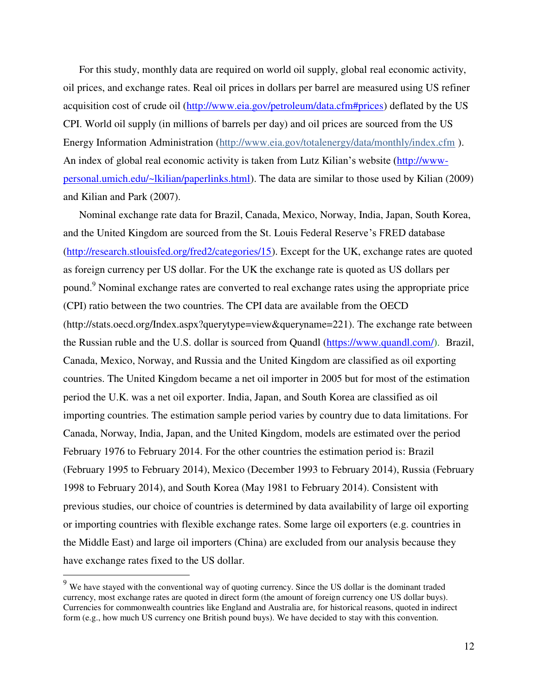For this study, monthly data are required on world oil supply, global real economic activity, oil prices, and exchange rates. Real oil prices in dollars per barrel are measured using US refiner acquisition cost of crude oil [\(http://www.eia.gov/petroleum/data.cfm#prices\)](http://www.eia.gov/petroleum/data.cfm#prices) deflated by the US CPI. World oil supply (in millions of barrels per day) and oil prices are sourced from the US Energy Information Administration [\(http://www.eia.gov/totalenergy/data/monthly/index.cfm](http://www.eia.gov/totalenergy/data/monthly/index.cfm) ). An index of global real economic activity is taken from Lutz Kilian's website ([http://www](http://www-personal.umich.edu/~lkilian/paperlinks.html)[personal.umich.edu/~lkilian/paperlinks.html\)](http://www-personal.umich.edu/~lkilian/paperlinks.html). The data are similar to those used by Kilian (2009) and Kilian and Park (2007).

Nominal exchange rate data for Brazil, Canada, Mexico, Norway, India, Japan, South Korea, and the United Kingdom are sourced from the St. Louis Federal Reserve's FRED database [\(http://research.stlouisfed.org/fred2/categories/15\)](http://research.stlouisfed.org/fred2/categories/15). Except for the UK, exchange rates are quoted as foreign currency per US dollar. For the UK the exchange rate is quoted as US dollars per pound.<sup>9</sup> Nominal exchange rates are converted to real exchange rates using the appropriate price (CPI) ratio between the two countries. The CPI data are available from the OECD (http://stats.oecd.org/Index.aspx?querytype=view&queryname=221). The exchange rate between the Russian ruble and the U.S. dollar is sourced from Quandl [\(https://www.quandl.com/\)](https://www.quandl.com/). Brazil, Canada, Mexico, Norway, and Russia and the United Kingdom are classified as oil exporting countries. The United Kingdom became a net oil importer in 2005 but for most of the estimation period the U.K. was a net oil exporter. India, Japan, and South Korea are classified as oil importing countries. The estimation sample period varies by country due to data limitations. For Canada, Norway, India, Japan, and the United Kingdom, models are estimated over the period February 1976 to February 2014. For the other countries the estimation period is: Brazil (February 1995 to February 2014), Mexico (December 1993 to February 2014), Russia (February 1998 to February 2014), and South Korea (May 1981 to February 2014). Consistent with previous studies, our choice of countries is determined by data availability of large oil exporting or importing countries with flexible exchange rates. Some large oil exporters (e.g. countries in the Middle East) and large oil importers (China) are excluded from our analysis because they have exchange rates fixed to the US dollar.

 $9$  We have stayed with the conventional way of quoting currency. Since the US dollar is the dominant traded currency, most exchange rates are quoted in direct form (the amount of foreign currency one US dollar buys). Currencies for commonwealth countries like England and Australia are, for historical reasons, quoted in indirect form (e.g., how much US currency one British pound buys). We have decided to stay with this convention.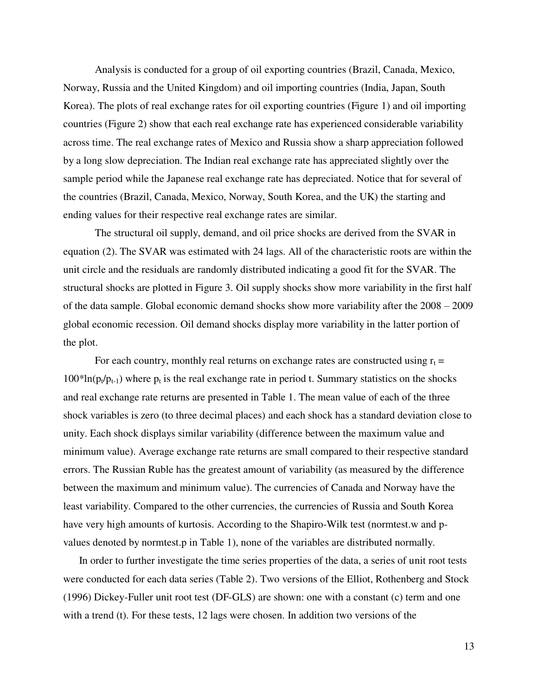Analysis is conducted for a group of oil exporting countries (Brazil, Canada, Mexico, Norway, Russia and the United Kingdom) and oil importing countries (India, Japan, South Korea). The plots of real exchange rates for oil exporting countries (Figure 1) and oil importing countries (Figure 2) show that each real exchange rate has experienced considerable variability across time. The real exchange rates of Mexico and Russia show a sharp appreciation followed by a long slow depreciation. The Indian real exchange rate has appreciated slightly over the sample period while the Japanese real exchange rate has depreciated. Notice that for several of the countries (Brazil, Canada, Mexico, Norway, South Korea, and the UK) the starting and ending values for their respective real exchange rates are similar.

The structural oil supply, demand, and oil price shocks are derived from the SVAR in equation (2). The SVAR was estimated with 24 lags. All of the characteristic roots are within the unit circle and the residuals are randomly distributed indicating a good fit for the SVAR. The structural shocks are plotted in Figure 3. Oil supply shocks show more variability in the first half of the data sample. Global economic demand shocks show more variability after the 2008 – 2009 global economic recession. Oil demand shocks display more variability in the latter portion of the plot.

For each country, monthly real returns on exchange rates are constructed using  $r_t =$  $100*ln(p_t/p_{t-1})$  where  $p_t$  is the real exchange rate in period t. Summary statistics on the shocks and real exchange rate returns are presented in Table 1. The mean value of each of the three shock variables is zero (to three decimal places) and each shock has a standard deviation close to unity. Each shock displays similar variability (difference between the maximum value and minimum value). Average exchange rate returns are small compared to their respective standard errors. The Russian Ruble has the greatest amount of variability (as measured by the difference between the maximum and minimum value). The currencies of Canada and Norway have the least variability. Compared to the other currencies, the currencies of Russia and South Korea have very high amounts of kurtosis. According to the Shapiro-Wilk test (normtest.w and pvalues denoted by normtest.p in Table 1), none of the variables are distributed normally.

In order to further investigate the time series properties of the data, a series of unit root tests were conducted for each data series (Table 2). Two versions of the Elliot, Rothenberg and Stock (1996) Dickey-Fuller unit root test (DF-GLS) are shown: one with a constant (c) term and one with a trend (t). For these tests, 12 lags were chosen. In addition two versions of the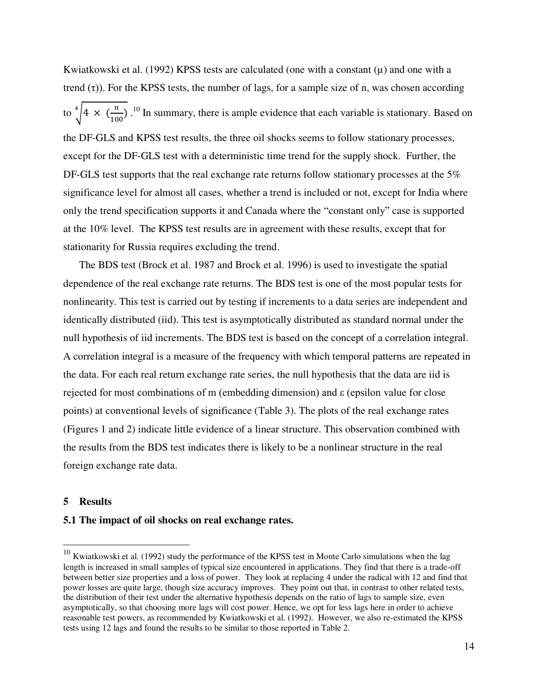Kwiatkowski et al. (1992) KPSS tests are calculated (one with a constant  $(\mu)$  and one with a trend  $(\tau)$ ). For the KPSS tests, the number of lags, for a sample size of n, was chosen according to  $\sqrt[4]{4} \times (\frac{n}{100})$ .<sup>10</sup> In summary, there is ample evidence that each variable is stationary. Based on the DF-GLS and KPSS test results, the three oil shocks seems to follow stationary processes, except for the DF-GLS test with a deterministic time trend for the supply shock. Further, the DF-GLS test supports that the real exchange rate returns follow stationary processes at the 5% significance level for almost all cases, whether a trend is included or not, except for India where only the trend specification supports it and Canada where the "constant only" case is supported at the 10% level. The KPSS test results are in agreement with these results, except that for stationarity for Russia requires excluding the trend.

The BDS test (Brock et al. 1987 and Brock et al. 1996) is used to investigate the spatial dependence of the real exchange rate returns. The BDS test is one of the most popular tests for nonlinearity. This test is carried out by testing if increments to a data series are independent and identically distributed (iid). This test is asymptotically distributed as standard normal under the null hypothesis of iid increments. The BDS test is based on the concept of a correlation integral. A correlation integral is a measure of the frequency with which temporal patterns are repeated in the data. For each real return exchange rate series, the null hypothesis that the data are iid is rejected for most combinations of m (embedding dimension) and ε (epsilon value for close points) at conventional levels of significance (Table 3). The plots of the real exchange rates (Figures 1 and 2) indicate little evidence of a linear structure. This observation combined with the results from the BDS test indicates there is likely to be a nonlinear structure in the real foreign exchange rate data.

# **5 Results**

 $\overline{a}$ 

# **5.1 The impact of oil shocks on real exchange rates.**

 $10$  Kwiatkowski et al. (1992) study the performance of the KPSS test in Monte Carlo simulations when the lag length is increased in small samples of typical size encountered in applications. They find that there is a trade-off between better size properties and a loss of power. They look at replacing 4 under the radical with 12 and find that power losses are quite large, though size accuracy improves. They point out that, in contrast to other related tests, the distribution of their test under the alternative hypothesis depends on the ratio of lags to sample size, even asymptotically, so that choosing more lags will cost power. Hence, we opt for less lags here in order to achieve reasonable test powers, as recommended by Kwiatkowski et al. (1992). However, we also re-estimated the KPSS tests using 12 lags and found the results to be similar to those reported in Table 2.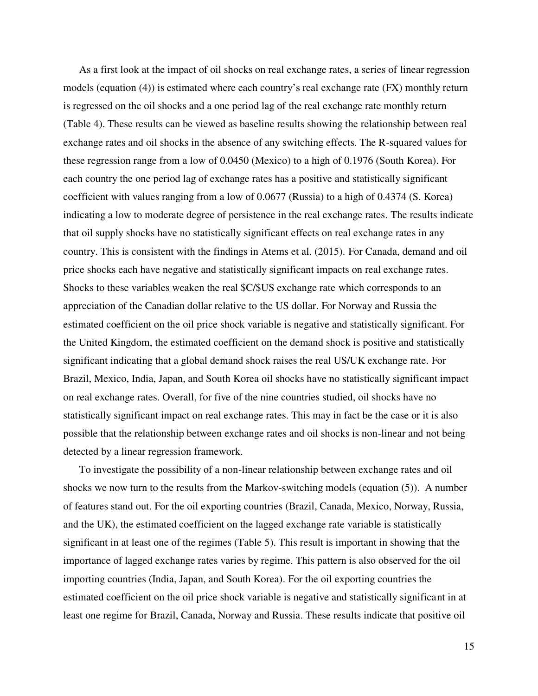As a first look at the impact of oil shocks on real exchange rates, a series of linear regression models (equation (4)) is estimated where each country's real exchange rate (FX) monthly return is regressed on the oil shocks and a one period lag of the real exchange rate monthly return (Table 4). These results can be viewed as baseline results showing the relationship between real exchange rates and oil shocks in the absence of any switching effects. The R-squared values for these regression range from a low of 0.0450 (Mexico) to a high of 0.1976 (South Korea). For each country the one period lag of exchange rates has a positive and statistically significant coefficient with values ranging from a low of 0.0677 (Russia) to a high of 0.4374 (S. Korea) indicating a low to moderate degree of persistence in the real exchange rates. The results indicate that oil supply shocks have no statistically significant effects on real exchange rates in any country. This is consistent with the findings in Atems et al. (2015). For Canada, demand and oil price shocks each have negative and statistically significant impacts on real exchange rates. Shocks to these variables weaken the real \$C/\$US exchange rate which corresponds to an appreciation of the Canadian dollar relative to the US dollar. For Norway and Russia the estimated coefficient on the oil price shock variable is negative and statistically significant. For the United Kingdom, the estimated coefficient on the demand shock is positive and statistically significant indicating that a global demand shock raises the real US/UK exchange rate. For Brazil, Mexico, India, Japan, and South Korea oil shocks have no statistically significant impact on real exchange rates. Overall, for five of the nine countries studied, oil shocks have no statistically significant impact on real exchange rates. This may in fact be the case or it is also possible that the relationship between exchange rates and oil shocks is non-linear and not being detected by a linear regression framework.

To investigate the possibility of a non-linear relationship between exchange rates and oil shocks we now turn to the results from the Markov-switching models (equation (5)). A number of features stand out. For the oil exporting countries (Brazil, Canada, Mexico, Norway, Russia, and the UK), the estimated coefficient on the lagged exchange rate variable is statistically significant in at least one of the regimes (Table 5). This result is important in showing that the importance of lagged exchange rates varies by regime. This pattern is also observed for the oil importing countries (India, Japan, and South Korea). For the oil exporting countries the estimated coefficient on the oil price shock variable is negative and statistically significant in at least one regime for Brazil, Canada, Norway and Russia. These results indicate that positive oil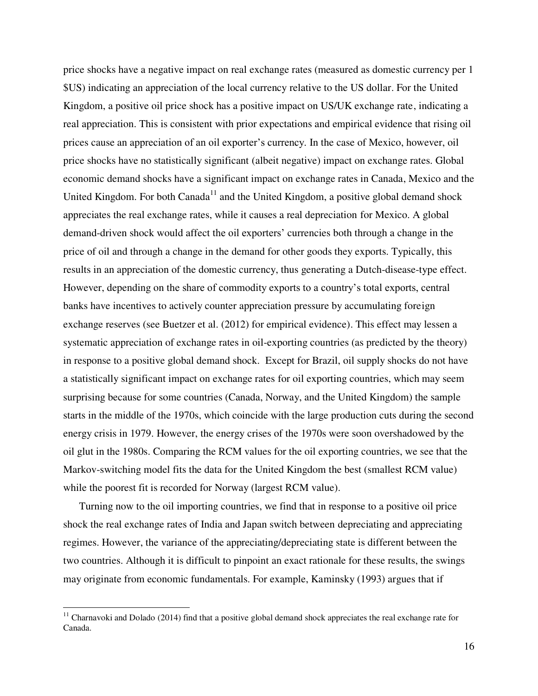price shocks have a negative impact on real exchange rates (measured as domestic currency per 1 \$US) indicating an appreciation of the local currency relative to the US dollar. For the United Kingdom, a positive oil price shock has a positive impact on US/UK exchange rate, indicating a real appreciation. This is consistent with prior expectations and empirical evidence that rising oil prices cause an appreciation of an oil exporter's currency. In the case of Mexico, however, oil price shocks have no statistically significant (albeit negative) impact on exchange rates. Global economic demand shocks have a significant impact on exchange rates in Canada, Mexico and the United Kingdom. For both Canada<sup>11</sup> and the United Kingdom, a positive global demand shock appreciates the real exchange rates, while it causes a real depreciation for Mexico. A global demand-driven shock would affect the oil exporters' currencies both through a change in the price of oil and through a change in the demand for other goods they exports. Typically, this results in an appreciation of the domestic currency, thus generating a Dutch-disease-type effect. However, depending on the share of commodity exports to a country's total exports, central banks have incentives to actively counter appreciation pressure by accumulating foreign exchange reserves (see Buetzer et al. (2012) for empirical evidence). This effect may lessen a systematic appreciation of exchange rates in oil-exporting countries (as predicted by the theory) in response to a positive global demand shock. Except for Brazil, oil supply shocks do not have a statistically significant impact on exchange rates for oil exporting countries, which may seem surprising because for some countries (Canada, Norway, and the United Kingdom) the sample starts in the middle of the 1970s, which coincide with the large production cuts during the second energy crisis in 1979. However, the energy crises of the 1970s were soon overshadowed by the oil glut in the 1980s. Comparing the RCM values for the oil exporting countries, we see that the Markov-switching model fits the data for the United Kingdom the best (smallest RCM value) while the poorest fit is recorded for Norway (largest RCM value).

Turning now to the oil importing countries, we find that in response to a positive oil price shock the real exchange rates of India and Japan switch between depreciating and appreciating regimes. However, the variance of the appreciating/depreciating state is different between the two countries. Although it is difficult to pinpoint an exact rationale for these results, the swings may originate from economic fundamentals. For example, Kaminsky (1993) argues that if

 $11$  Charnavoki and Dolado (2014) find that a positive global demand shock appreciates the real exchange rate for Canada.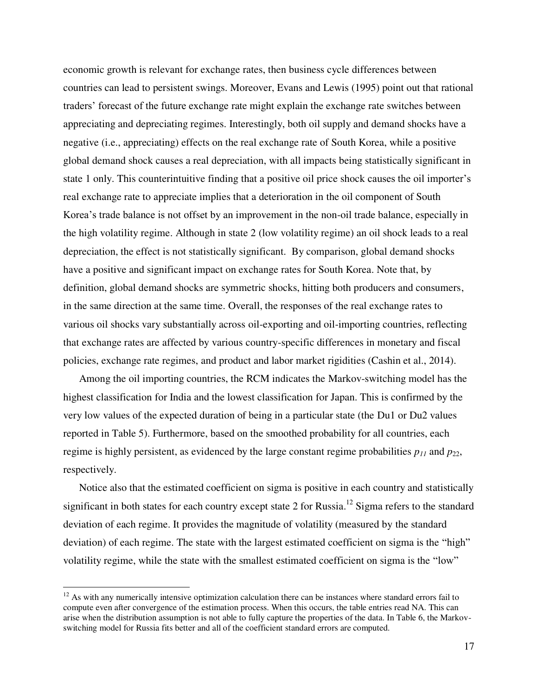economic growth is relevant for exchange rates, then business cycle differences between countries can lead to persistent swings. Moreover, Evans and Lewis (1995) point out that rational traders' forecast of the future exchange rate might explain the exchange rate switches between appreciating and depreciating regimes. Interestingly, both oil supply and demand shocks have a negative (i.e., appreciating) effects on the real exchange rate of South Korea, while a positive global demand shock causes a real depreciation, with all impacts being statistically significant in state 1 only. This counterintuitive finding that a positive oil price shock causes the oil importer's real exchange rate to appreciate implies that a deterioration in the oil component of South Korea's trade balance is not offset by an improvement in the non-oil trade balance, especially in the high volatility regime. Although in state 2 (low volatility regime) an oil shock leads to a real depreciation, the effect is not statistically significant. By comparison, global demand shocks have a positive and significant impact on exchange rates for South Korea. Note that, by definition, global demand shocks are symmetric shocks, hitting both producers and consumers, in the same direction at the same time. Overall, the responses of the real exchange rates to various oil shocks vary substantially across oil-exporting and oil-importing countries, reflecting that exchange rates are affected by various country-specific differences in monetary and fiscal policies, exchange rate regimes, and product and labor market rigidities (Cashin et al., 2014).

Among the oil importing countries, the RCM indicates the Markov-switching model has the highest classification for India and the lowest classification for Japan. This is confirmed by the very low values of the expected duration of being in a particular state (the Du1 or Du2 values reported in Table 5). Furthermore, based on the smoothed probability for all countries, each regime is highly persistent, as evidenced by the large constant regime probabilities  $p_{11}$  and  $p_{22}$ , respectively.

Notice also that the estimated coefficient on sigma is positive in each country and statistically significant in both states for each country except state 2 for Russia.<sup>12</sup> Sigma refers to the standard deviation of each regime. It provides the magnitude of volatility (measured by the standard deviation) of each regime. The state with the largest estimated coefficient on sigma is the "high" volatility regime, while the state with the smallest estimated coefficient on sigma is the "low"

 $12$  As with any numerically intensive optimization calculation there can be instances where standard errors fail to compute even after convergence of the estimation process. When this occurs, the table entries read NA. This can arise when the distribution assumption is not able to fully capture the properties of the data. In Table 6, the Markovswitching model for Russia fits better and all of the coefficient standard errors are computed.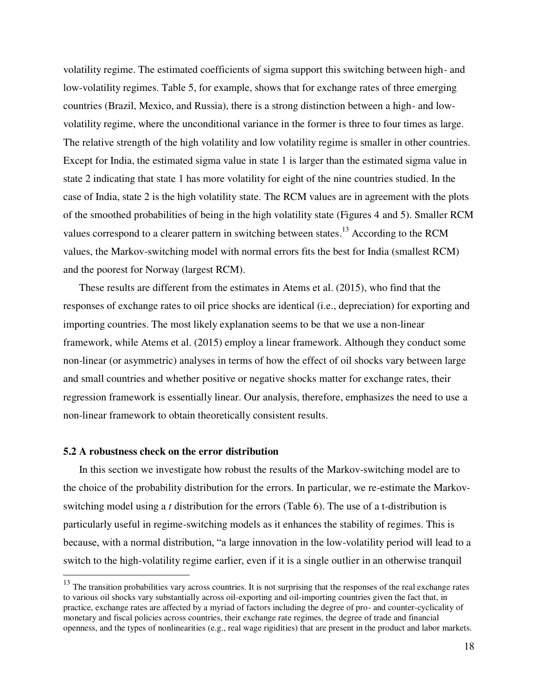volatility regime. The estimated coefficients of sigma support this switching between high- and low-volatility regimes. Table 5, for example, shows that for exchange rates of three emerging countries (Brazil, Mexico, and Russia), there is a strong distinction between a high- and lowvolatility regime, where the unconditional variance in the former is three to four times as large. The relative strength of the high volatility and low volatility regime is smaller in other countries. Except for India, the estimated sigma value in state 1 is larger than the estimated sigma value in state 2 indicating that state 1 has more volatility for eight of the nine countries studied. In the case of India, state 2 is the high volatility state. The RCM values are in agreement with the plots of the smoothed probabilities of being in the high volatility state (Figures 4 and 5). Smaller RCM values correspond to a clearer pattern in switching between states.<sup>13</sup> According to the RCM values, the Markov-switching model with normal errors fits the best for India (smallest RCM) and the poorest for Norway (largest RCM).

These results are different from the estimates in Atems et al. (2015), who find that the responses of exchange rates to oil price shocks are identical (i.e., depreciation) for exporting and importing countries. The most likely explanation seems to be that we use a non-linear framework, while Atems et al. (2015) employ a linear framework. Although they conduct some non-linear (or asymmetric) analyses in terms of how the effect of oil shocks vary between large and small countries and whether positive or negative shocks matter for exchange rates, their regression framework is essentially linear. Our analysis, therefore, emphasizes the need to use a non-linear framework to obtain theoretically consistent results.

## **5.2 A robustness check on the error distribution**

 $\overline{a}$ 

In this section we investigate how robust the results of the Markov-switching model are to the choice of the probability distribution for the errors. In particular, we re-estimate the Markovswitching model using a *t* distribution for the errors (Table 6). The use of a t-distribution is particularly useful in regime-switching models as it enhances the stability of regimes. This is because, with a normal distribution, "a large innovation in the low-volatility period will lead to a switch to the high-volatility regime earlier, even if it is a single outlier in an otherwise tranquil

 $13$  The transition probabilities vary across countries. It is not surprising that the responses of the real exchange rates to various oil shocks vary substantially across oil-exporting and oil-importing countries given the fact that, in practice, exchange rates are affected by a myriad of factors including the degree of pro- and counter-cyclicality of monetary and fiscal policies across countries, their exchange rate regimes, the degree of trade and financial openness, and the types of nonlinearities (e.g., real wage rigidities) that are present in the product and labor markets.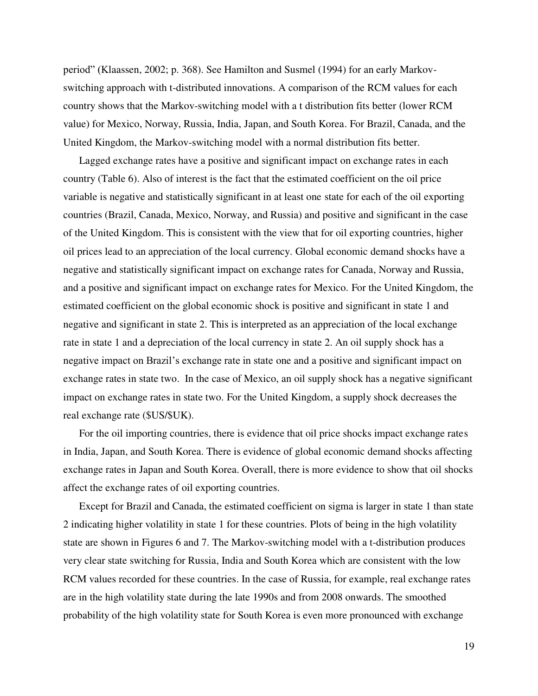period" (Klaassen, 2002; p. 368). See Hamilton and Susmel (1994) for an early Markovswitching approach with t-distributed innovations. A comparison of the RCM values for each country shows that the Markov-switching model with a t distribution fits better (lower RCM value) for Mexico, Norway, Russia, India, Japan, and South Korea. For Brazil, Canada, and the United Kingdom, the Markov-switching model with a normal distribution fits better.

Lagged exchange rates have a positive and significant impact on exchange rates in each country (Table 6). Also of interest is the fact that the estimated coefficient on the oil price variable is negative and statistically significant in at least one state for each of the oil exporting countries (Brazil, Canada, Mexico, Norway, and Russia) and positive and significant in the case of the United Kingdom. This is consistent with the view that for oil exporting countries, higher oil prices lead to an appreciation of the local currency. Global economic demand shocks have a negative and statistically significant impact on exchange rates for Canada, Norway and Russia, and a positive and significant impact on exchange rates for Mexico. For the United Kingdom, the estimated coefficient on the global economic shock is positive and significant in state 1 and negative and significant in state 2. This is interpreted as an appreciation of the local exchange rate in state 1 and a depreciation of the local currency in state 2. An oil supply shock has a negative impact on Brazil's exchange rate in state one and a positive and significant impact on exchange rates in state two. In the case of Mexico, an oil supply shock has a negative significant impact on exchange rates in state two. For the United Kingdom, a supply shock decreases the real exchange rate (\$US/\$UK).

For the oil importing countries, there is evidence that oil price shocks impact exchange rates in India, Japan, and South Korea. There is evidence of global economic demand shocks affecting exchange rates in Japan and South Korea. Overall, there is more evidence to show that oil shocks affect the exchange rates of oil exporting countries.

Except for Brazil and Canada, the estimated coefficient on sigma is larger in state 1 than state 2 indicating higher volatility in state 1 for these countries. Plots of being in the high volatility state are shown in Figures 6 and 7. The Markov-switching model with a t-distribution produces very clear state switching for Russia, India and South Korea which are consistent with the low RCM values recorded for these countries. In the case of Russia, for example, real exchange rates are in the high volatility state during the late 1990s and from 2008 onwards. The smoothed probability of the high volatility state for South Korea is even more pronounced with exchange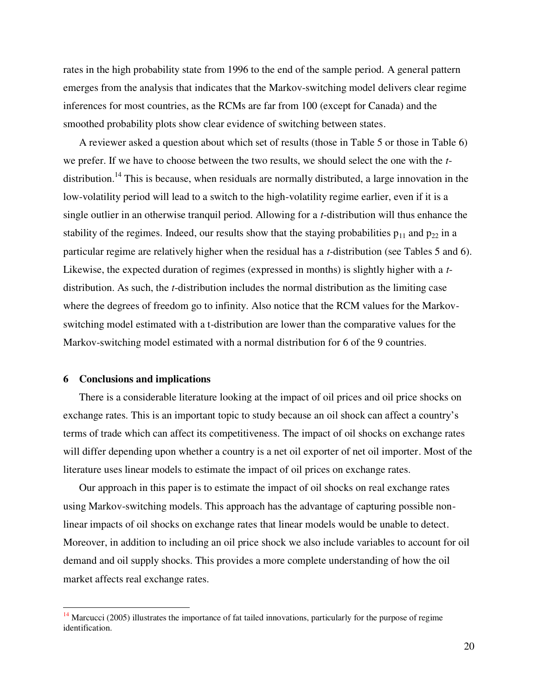rates in the high probability state from 1996 to the end of the sample period. A general pattern emerges from the analysis that indicates that the Markov-switching model delivers clear regime inferences for most countries, as the RCMs are far from 100 (except for Canada) and the smoothed probability plots show clear evidence of switching between states.

A reviewer asked a question about which set of results (those in Table 5 or those in Table 6) we prefer. If we have to choose between the two results, we should select the one with the *t*distribution.<sup>14</sup> This is because, when residuals are normally distributed, a large innovation in the low-volatility period will lead to a switch to the high-volatility regime earlier, even if it is a single outlier in an otherwise tranquil period. Allowing for a *t*-distribution will thus enhance the stability of the regimes. Indeed, our results show that the staying probabilities  $p_{11}$  and  $p_{22}$  in a particular regime are relatively higher when the residual has a *t*-distribution (see Tables 5 and 6). Likewise, the expected duration of regimes (expressed in months) is slightly higher with a *t*distribution. As such, the *t*-distribution includes the normal distribution as the limiting case where the degrees of freedom go to infinity. Also notice that the RCM values for the Markovswitching model estimated with a t-distribution are lower than the comparative values for the Markov-switching model estimated with a normal distribution for 6 of the 9 countries.

# **6 Conclusions and implications**

 $\overline{a}$ 

There is a considerable literature looking at the impact of oil prices and oil price shocks on exchange rates. This is an important topic to study because an oil shock can affect a country's terms of trade which can affect its competitiveness. The impact of oil shocks on exchange rates will differ depending upon whether a country is a net oil exporter of net oil importer. Most of the literature uses linear models to estimate the impact of oil prices on exchange rates.

Our approach in this paper is to estimate the impact of oil shocks on real exchange rates using Markov-switching models. This approach has the advantage of capturing possible nonlinear impacts of oil shocks on exchange rates that linear models would be unable to detect. Moreover, in addition to including an oil price shock we also include variables to account for oil demand and oil supply shocks. This provides a more complete understanding of how the oil market affects real exchange rates.

 $14$  Marcucci (2005) illustrates the importance of fat tailed innovations, particularly for the purpose of regime identification.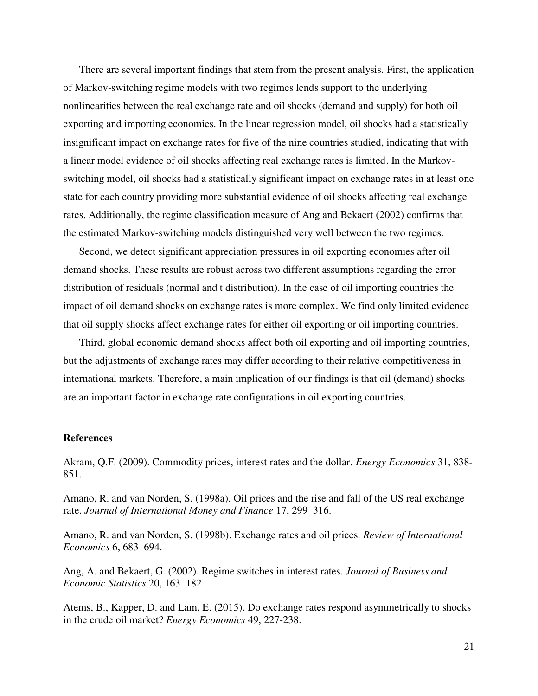There are several important findings that stem from the present analysis. First, the application of Markov-switching regime models with two regimes lends support to the underlying nonlinearities between the real exchange rate and oil shocks (demand and supply) for both oil exporting and importing economies. In the linear regression model, oil shocks had a statistically insignificant impact on exchange rates for five of the nine countries studied, indicating that with a linear model evidence of oil shocks affecting real exchange rates is limited. In the Markovswitching model, oil shocks had a statistically significant impact on exchange rates in at least one state for each country providing more substantial evidence of oil shocks affecting real exchange rates. Additionally, the regime classification measure of Ang and Bekaert (2002) confirms that the estimated Markov-switching models distinguished very well between the two regimes.

Second, we detect significant appreciation pressures in oil exporting economies after oil demand shocks. These results are robust across two different assumptions regarding the error distribution of residuals (normal and t distribution). In the case of oil importing countries the impact of oil demand shocks on exchange rates is more complex. We find only limited evidence that oil supply shocks affect exchange rates for either oil exporting or oil importing countries.

Third, global economic demand shocks affect both oil exporting and oil importing countries, but the adjustments of exchange rates may differ according to their relative competitiveness in international markets. Therefore, a main implication of our findings is that oil (demand) shocks are an important factor in exchange rate configurations in oil exporting countries.

#### **References**

Akram, Q.F. (2009). Commodity prices, interest rates and the dollar. *Energy Economics* 31, 838- 851.

Amano, R. and van Norden, S. (1998a). Oil prices and the rise and fall of the US real exchange rate. *Journal of International Money and Finance* 17, 299–316.

Amano, R. and van Norden, S. (1998b). Exchange rates and oil prices. *Review of International Economics* 6, 683–694.

Ang, A. and Bekaert, G. (2002). Regime switches in interest rates. *Journal of Business and Economic Statistics* 20, 163–182.

Atems, B., Kapper, D. and Lam, E. (2015). Do exchange rates respond asymmetrically to shocks in the crude oil market? *Energy Economics* 49, 227-238.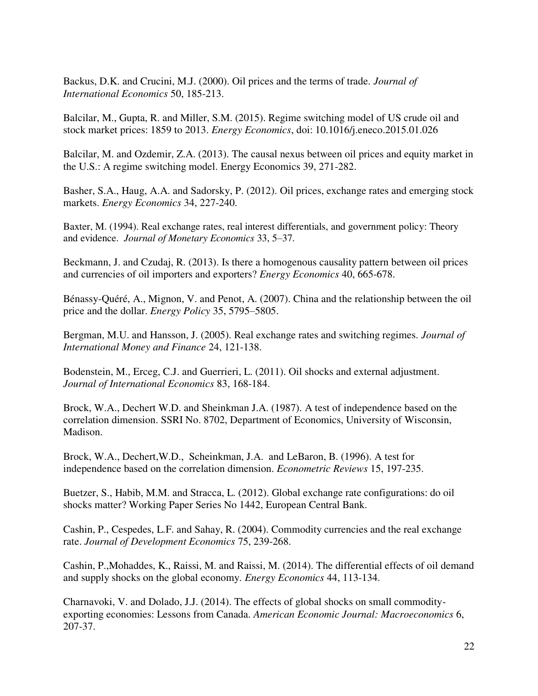Backus, D.K. and Crucini, M.J. (2000). Oil prices and the terms of trade. *Journal of International Economics* 50, 185-213.

Balcilar, M., Gupta, R. and Miller, S.M. (2015). Regime switching model of US crude oil and stock market prices: 1859 to 2013. *Energy Economics*, doi: 10.1016/j.eneco.2015.01.026

Balcilar, M. and Ozdemir, Z.A. (2013). The causal nexus between oil prices and equity market in the U.S.: A regime switching model. Energy Economics 39, 271-282.

Basher, S.A., Haug, A.A. and Sadorsky, P. (2012). Oil prices, exchange rates and emerging stock markets. *Energy Economics* 34, 227-240.

Baxter, M. (1994). Real exchange rates, real interest differentials, and government policy: Theory and evidence. *Journal of Monetary Economics* 33, 5–37.

Beckmann, J. and Czudaj, R. (2013). Is there a homogenous causality pattern between oil prices and currencies of oil importers and exporters? *Energy Economics* 40, 665-678.

Bénassy-Quéré, A., Mignon, V. and Penot, A. (2007). China and the relationship between the oil price and the dollar. *Energy Policy* 35, 5795–5805.

Bergman, M.U. and Hansson, J. (2005). Real exchange rates and switching regimes. *Journal of International Money and Finance* 24, 121-138.

Bodenstein, M., Erceg, C.J. and Guerrieri, L. (2011). Oil shocks and external adjustment. *Journal of International Economics* 83, 168-184.

Brock, W.A., Dechert W.D. and Sheinkman J.A. (1987). A test of independence based on the correlation dimension. SSRI No. 8702, Department of Economics, University of Wisconsin, Madison.

Brock, W.A., Dechert,W.D., Scheinkman, J.A. and LeBaron, B. (1996). A test for independence based on the correlation dimension. *Econometric Reviews* 15, 197-235.

Buetzer, S., Habib, M.M. and Stracca, L. (2012). Global exchange rate configurations: do oil shocks matter? Working Paper Series No 1442, European Central Bank.

Cashin, P., Cespedes, L.F. and Sahay, R. (2004). Commodity currencies and the real exchange rate. *Journal of Development Economics* 75, 239-268.

Cashin, P.,Mohaddes, K., Raissi, M. and Raissi, M. (2014). The differential effects of oil demand and supply shocks on the global economy. *Energy Economics* 44, 113-134.

Charnavoki, V. and Dolado, J.J. (2014). The effects of global shocks on small commodityexporting economies: Lessons from Canada. *American Economic Journal: Macroeconomics* 6, 207-37.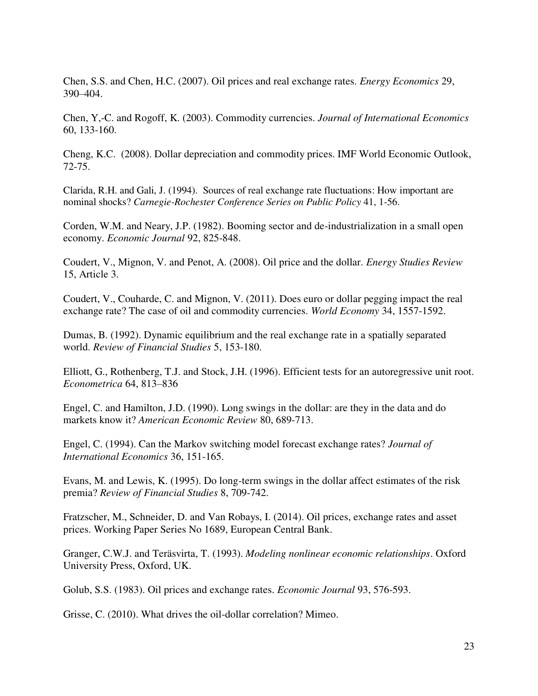Chen, S.S. and Chen, H.C. (2007). Oil prices and real exchange rates. *Energy Economics* 29, 390–404.

Chen, Y,-C. and Rogoff, K. (2003). Commodity currencies. *Journal of International Economics* 60, 133-160.

Cheng, K.C. (2008). Dollar depreciation and commodity prices. IMF World Economic Outlook, 72-75.

Clarida, R.H. and Gali, J. (1994). Sources of real exchange rate fluctuations: How important are nominal shocks? *Carnegie-Rochester Conference Series on Public Policy* 41, 1-56.

Corden, W.M. and Neary, J.P. (1982). Booming sector and de-industrialization in a small open economy. *Economic Journal* 92, 825-848.

Coudert, V., Mignon, V. and Penot, A. (2008). Oil price and the dollar. *Energy Studies Review* 15, Article 3.

Coudert, V., Couharde, C. and Mignon, V. (2011). Does euro or dollar pegging impact the real exchange rate? The case of oil and commodity currencies. *World Economy* 34, 1557-1592.

Dumas, B. (1992). Dynamic equilibrium and the real exchange rate in a spatially separated world. *Review of Financial Studies* 5, 153-180.

Elliott, G., Rothenberg, T.J. and Stock, J.H. (1996). Efficient tests for an autoregressive unit root. *Econometrica* 64, 813–836

Engel, C. and Hamilton, J.D. (1990). Long swings in the dollar: are they in the data and do markets know it? *American Economic Review* 80, 689-713.

Engel, C. (1994). Can the Markov switching model forecast exchange rates? *Journal of International Economics* 36, 151-165.

Evans, M. and Lewis, K. (1995). Do long-term swings in the dollar affect estimates of the risk premia? *Review of Financial Studies* 8, 709-742.

Fratzscher, M., Schneider, D. and Van Robays, I. (2014). Oil prices, exchange rates and asset prices. Working Paper Series No 1689, European Central Bank.

Granger, C.W.J. and Teräsvirta, T. (1993). *Modeling nonlinear economic relationships*. Oxford University Press, Oxford, UK.

Golub, S.S. (1983). Oil prices and exchange rates. *Economic Journal* 93, 576-593.

Grisse, C. (2010). What drives the oil-dollar correlation? Mimeo.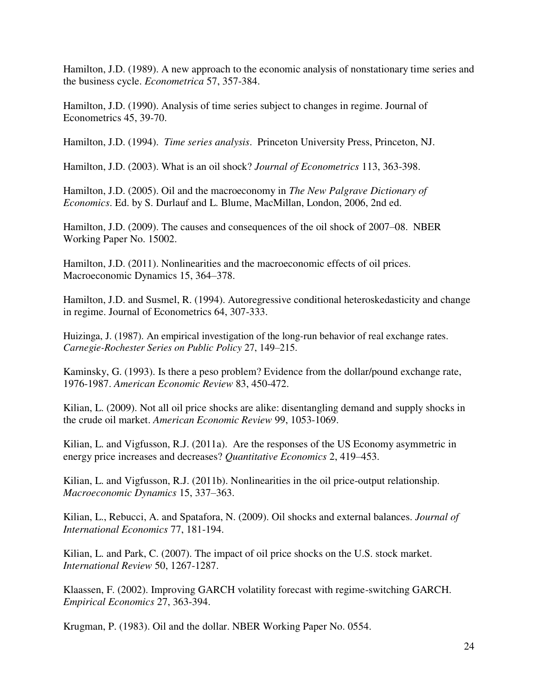Hamilton, J.D. (1989). A new approach to the economic analysis of nonstationary time series and the business cycle. *Econometrica* 57, 357-384.

Hamilton, J.D. (1990). Analysis of time series subject to changes in regime. Journal of Econometrics 45, 39-70.

Hamilton, J.D. (1994). *Time series analysis*. Princeton University Press, Princeton, NJ.

Hamilton, J.D. (2003). What is an oil shock? *Journal of Econometrics* 113, 363-398.

Hamilton, J.D. (2005). Oil and the macroeconomy in *The New Palgrave Dictionary of Economics*. Ed. by S. Durlauf and L. Blume, MacMillan, London, 2006, 2nd ed.

Hamilton, J.D. (2009). The causes and consequences of the oil shock of 2007–08. NBER Working Paper No. 15002.

Hamilton, J.D. (2011). Nonlinearities and the macroeconomic effects of oil prices. Macroeconomic Dynamics 15, 364–378.

Hamilton, J.D. and Susmel, R. (1994). Autoregressive conditional heteroskedasticity and change in regime. Journal of Econometrics 64, 307-333.

Huizinga, J. (1987). An empirical investigation of the long-run behavior of real exchange rates. *Carnegie-Rochester Series on Public Policy* 27, 149–215.

Kaminsky, G. (1993). Is there a peso problem? Evidence from the dollar/pound exchange rate, 1976-1987. *American Economic Review* 83, 450-472.

Kilian, L. (2009). Not all oil price shocks are alike: disentangling demand and supply shocks in the crude oil market. *American Economic Review* 99, 1053-1069.

Kilian, L. and Vigfusson, R.J. (2011a). Are the responses of the US Economy asymmetric in energy price increases and decreases? *Quantitative Economics* 2, 419–453.

Kilian, L. and Vigfusson, R.J. (2011b). Nonlinearities in the oil price-output relationship. *Macroeconomic Dynamics* 15, 337–363.

Kilian, L., Rebucci, A. and Spatafora, N. (2009). Oil shocks and external balances. *Journal of International Economics* 77, 181-194.

Kilian, L. and Park, C. (2007). The impact of oil price shocks on the U.S. stock market. *International Review* 50, 1267-1287.

Klaassen, F. (2002). Improving GARCH volatility forecast with regime-switching GARCH. *Empirical Economics* 27, 363-394.

Krugman, P. (1983). Oil and the dollar. NBER Working Paper No. 0554.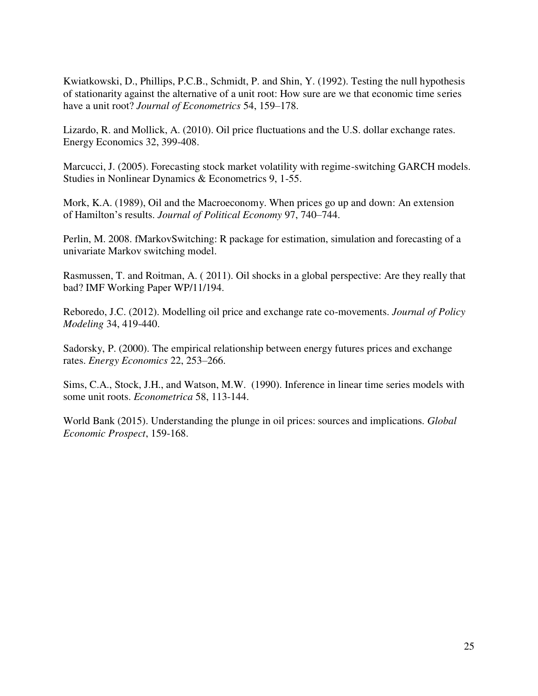Kwiatkowski, D., Phillips, P.C.B., Schmidt, P. and Shin, Y. (1992). Testing the null hypothesis of stationarity against the alternative of a unit root: How sure are we that economic time series have a unit root? *Journal of Econometrics* 54, 159–178.

Lizardo, R. and Mollick, A. (2010). Oil price fluctuations and the U.S. dollar exchange rates. Energy Economics 32, 399-408.

Marcucci, J. (2005). Forecasting stock market volatility with regime-switching GARCH models. Studies in Nonlinear Dynamics & Econometrics 9, 1-55.

Mork, K.A. (1989), Oil and the Macroeconomy. When prices go up and down: An extension of Hamilton's results. *Journal of Political Economy* 97, 740–744.

Perlin, M. 2008. fMarkovSwitching: R package for estimation, simulation and forecasting of a univariate Markov switching model.

Rasmussen, T. and Roitman, A. ( 2011). Oil shocks in a global perspective: Are they really that bad? IMF Working Paper WP/11/194.

Reboredo, J.C. (2012). Modelling oil price and exchange rate co-movements. *Journal of Policy Modeling* 34, 419-440.

Sadorsky, P. (2000). The empirical relationship between energy futures prices and exchange rates. *Energy Economics* 22, 253–266.

Sims, C.A., Stock, J.H., and Watson, M.W. (1990). Inference in linear time series models with some unit roots. *Econometrica* 58, 113-144.

World Bank (2015). Understanding the plunge in oil prices: sources and implications. *Global Economic Prospect*, 159-168.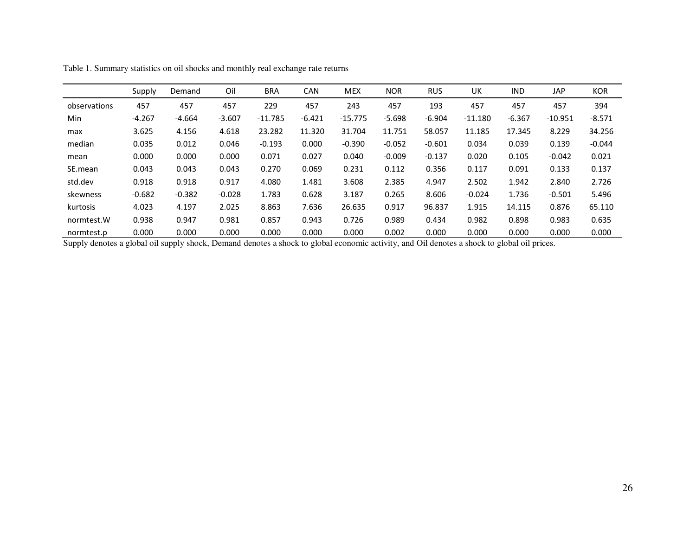|              | Supply   | Demand   | Oil      | <b>BRA</b> | <b>CAN</b> | <b>MEX</b> | <b>NOR</b> | <b>RUS</b> | UK        | <b>IND</b> | <b>JAP</b> | <b>KOR</b> |
|--------------|----------|----------|----------|------------|------------|------------|------------|------------|-----------|------------|------------|------------|
| observations | 457      | 457      | 457      | 229        | 457        | 243        | 457        | 193        | 457       | 457        | 457        | 394        |
| Min          | $-4.267$ | $-4.664$ | $-3.607$ | $-11.785$  | $-6.421$   | $-15.775$  | $-5.698$   | $-6.904$   | $-11.180$ | $-6.367$   | $-10.951$  | $-8.571$   |
| max          | 3.625    | 4.156    | 4.618    | 23.282     | 11.320     | 31.704     | 11.751     | 58.057     | 11.185    | 17.345     | 8.229      | 34.256     |
| median       | 0.035    | 0.012    | 0.046    | $-0.193$   | 0.000      | $-0.390$   | $-0.052$   | $-0.601$   | 0.034     | 0.039      | 0.139      | $-0.044$   |
| mean         | 0.000    | 0.000    | 0.000    | 0.071      | 0.027      | 0.040      | $-0.009$   | $-0.137$   | 0.020     | 0.105      | $-0.042$   | 0.021      |
| SE.mean      | 0.043    | 0.043    | 0.043    | 0.270      | 0.069      | 0.231      | 0.112      | 0.356      | 0.117     | 0.091      | 0.133      | 0.137      |
| std.dev      | 0.918    | 0.918    | 0.917    | 4.080      | 1.481      | 3.608      | 2.385      | 4.947      | 2.502     | 1.942      | 2.840      | 2.726      |
| skewness     | $-0.682$ | $-0.382$ | $-0.028$ | 1.783      | 0.628      | 3.187      | 0.265      | 8.606      | $-0.024$  | 1.736      | $-0.501$   | 5.496      |
| kurtosis     | 4.023    | 4.197    | 2.025    | 8.863      | 7.636      | 26.635     | 0.917      | 96.837     | 1.915     | 14.115     | 0.876      | 65.110     |
| normtest.W   | 0.938    | 0.947    | 0.981    | 0.857      | 0.943      | 0.726      | 0.989      | 0.434      | 0.982     | 0.898      | 0.983      | 0.635      |
| normtest.p   | 0.000    | 0.000    | 0.000    | 0.000      | 0.000      | 0.000      | 0.002      | 0.000      | 0.000     | 0.000      | 0.000      | 0.000      |

Table 1. Summary statistics on oil shocks and monthly real exchange rate returns

Supply denotes a global oil supply shock, Demand denotes a shock to global economic activity, and Oil denotes a shock to global oil prices.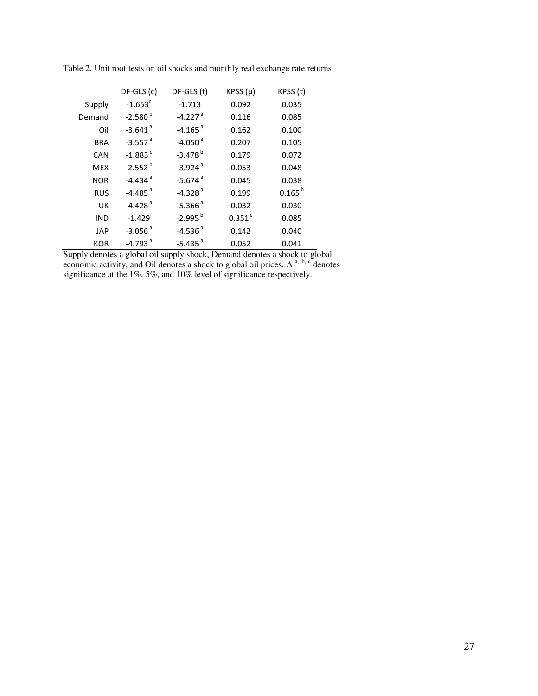|            | $DF-GLS$ (c)          | DF-GLS (t)            | KPSS $(\mu)$         | KPSS $(τ)$  |
|------------|-----------------------|-----------------------|----------------------|-------------|
| Supply     | $-1.653^c$            | $-1.713$              | 0.092                | 0.035       |
| Demand     | $-2.580^{b}$          | $-4.227$ <sup>a</sup> | 0.116                | 0.085       |
| Oil        | $-3.641$ <sup>a</sup> | $-4.165$ <sup>a</sup> | 0.162                | 0.100       |
| <b>BRA</b> | $-3.557$ <sup>a</sup> | $-4.050$ <sup>a</sup> | 0.207                | 0.105       |
| CAN        | $-1.883$ <sup>c</sup> | $-3.478$ <sup>b</sup> | 0.179                | 0.072       |
| <b>MEX</b> | $-2.552^{b}$          | $-3.924$ <sup>a</sup> | 0.053                | 0.048       |
| <b>NOR</b> | $-4.434$ <sup>a</sup> | $-5.674$ <sup>a</sup> | 0.045                | 0.038       |
| <b>RUS</b> | $-4.485$ <sup>a</sup> | $-4.328$ <sup>a</sup> | 0.199                | $0.165^{b}$ |
| UK         | $-4.428$ <sup>a</sup> | $-5.366$ <sup>a</sup> | 0.032                | 0.030       |
| <b>IND</b> | $-1.429$              | $-2.995^{b}$          | $0.351$ <sup>c</sup> | 0.085       |
| <b>JAP</b> | $-3.056$ <sup>a</sup> | $-4.536$ <sup>a</sup> | 0.142                | 0.040       |
| <b>KOR</b> | $-4.793$ <sup>a</sup> | $-5.435$ <sup>a</sup> | 0.052                | 0.041       |

Table 2. Unit root tests on oil shocks and monthly real exchange rate returns

Supply denotes a global oil supply shock, Demand denotes a shock to global economic activity, and Oil denotes a shock to global oil prices. A  $a$ ,  $b$ ,  $c$  denotes significance at the 1%, 5%, and 10% level of significance respectively.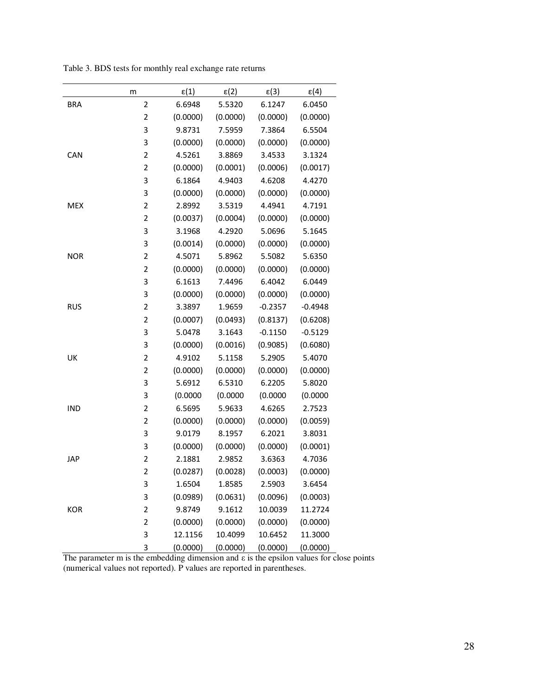|            | m                       | $\epsilon(1)$ | $\epsilon(2)$ | $\epsilon(3)$ | $\epsilon(4)$ |
|------------|-------------------------|---------------|---------------|---------------|---------------|
| <b>BRA</b> | $\overline{2}$          | 6.6948        | 5.5320        | 6.1247        | 6.0450        |
|            | $\overline{2}$          | (0.0000)      | (0.0000)      | (0.0000)      | (0.0000)      |
|            | 3                       | 9.8731        | 7.5959        | 7.3864        | 6.5504        |
|            | 3                       | (0.0000)      | (0.0000)      | (0.0000)      | (0.0000)      |
| CAN        | $\overline{2}$          | 4.5261        | 3.8869        | 3.4533        | 3.1324        |
|            | $\overline{\mathbf{c}}$ | (0.0000)      | (0.0001)      | (0.0006)      | (0.0017)      |
|            | 3                       | 6.1864        | 4.9403        | 4.6208        | 4.4270        |
|            | 3                       | (0.0000)      | (0.0000)      | (0.0000)      | (0.0000)      |
| <b>MEX</b> | $\overline{2}$          | 2.8992        | 3.5319        | 4.4941        | 4.7191        |
|            | $\overline{c}$          | (0.0037)      | (0.0004)      | (0.0000)      | (0.0000)      |
|            | 3                       | 3.1968        | 4.2920        | 5.0696        | 5.1645        |
|            | 3                       | (0.0014)      | (0.0000)      | (0.0000)      | (0.0000)      |
| <b>NOR</b> | $\overline{c}$          | 4.5071        | 5.8962        | 5.5082        | 5.6350        |
|            | $\overline{2}$          | (0.0000)      | (0.0000)      | (0.0000)      | (0.0000)      |
|            | 3                       | 6.1613        | 7.4496        | 6.4042        | 6.0449        |
|            | 3                       | (0.0000)      | (0.0000)      | (0.0000)      | (0.0000)      |
| <b>RUS</b> | $\overline{2}$          | 3.3897        | 1.9659        | $-0.2357$     | $-0.4948$     |
|            | $\overline{2}$          | (0.0007)      | (0.0493)      | (0.8137)      | (0.6208)      |
|            | 3                       | 5.0478        | 3.1643        | $-0.1150$     | $-0.5129$     |
|            | 3                       | (0.0000)      | (0.0016)      | (0.9085)      | (0.6080)      |
| UK         | $\overline{2}$          | 4.9102        | 5.1158        | 5.2905        | 5.4070        |
|            | $\overline{2}$          | (0.0000)      | (0.0000)      | (0.0000)      | (0.0000)      |
|            | 3                       | 5.6912        | 6.5310        | 6.2205        | 5.8020        |
|            | 3                       | (0.0000)      | (0.0000)      | (0.0000)      | (0.0000)      |
| <b>IND</b> | $\overline{\mathbf{c}}$ | 6.5695        | 5.9633        | 4.6265        | 2.7523        |
|            | $\overline{c}$          | (0.0000)      | (0.0000)      | (0.0000)      | (0.0059)      |
|            | 3                       | 9.0179        | 8.1957        | 6.2021        | 3.8031        |
|            | 3                       | (0.0000)      | (0.0000)      | (0.0000)      | (0.0001)      |
| JAP        | $\overline{\mathbf{c}}$ | 2.1881        | 2.9852        | 3.6363        | 4.7036        |
|            | $\overline{2}$          | (0.0287)      | (0.0028)      | (0.0003)      | (0.0000)      |
|            | 3                       | 1.6504        | 1.8585        | 2.5903        | 3.6454        |
|            | 3                       | (0.0989)      | (0.0631)      | (0.0096)      | (0.0003)      |
| KOR        | $\overline{c}$          | 9.8749        | 9.1612        | 10.0039       | 11.2724       |

Table 3. BDS tests for monthly real exchange rate returns

The parameter m is the embedding dimension and  $\varepsilon$  is the epsilon values for close points (numerical values not reported). P values are reported in parentheses.

2 (0.0000) (0.0000) (0.0000) (0.0000) 3 12.1156 10.4099 10.6452 11.3000 3 (0.0000) (0.0000) (0.0000) (0.0000)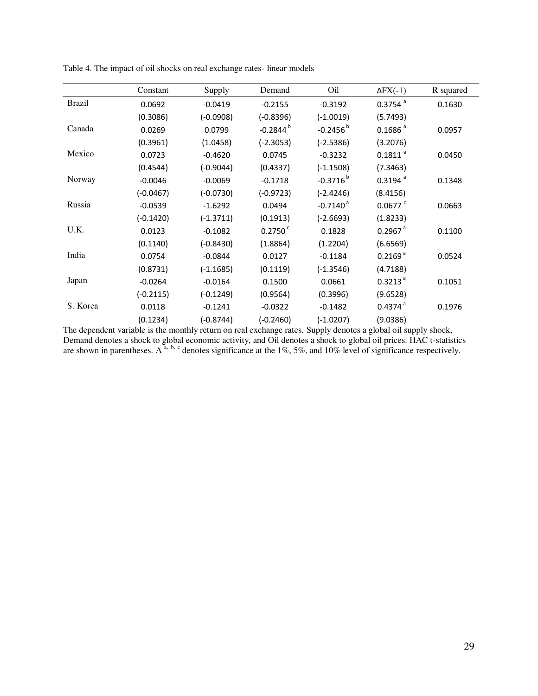|               | Constant    | Supply      | Demand           | Oil                    | $\Delta$ FX $(-1)$    | R squared |
|---------------|-------------|-------------|------------------|------------------------|-----------------------|-----------|
| <b>Brazil</b> | 0.0692      | $-0.0419$   | $-0.2155$        | $-0.3192$              | $0.3754$ <sup>a</sup> | 0.1630    |
|               | (0.3086)    | $(-0.0908)$ | $(-0.8396)$      | $(-1.0019)$            | (5.7493)              |           |
| Canada        | 0.0269      | 0.0799      | $-0.2844^{b}$    | $-0.2456^{b}$          | 0.1686 <sup>a</sup>   | 0.0957    |
|               | (0.3961)    | (1.0458)    | $(-2.3053)$      | $(-2.5386)$            | (3.2076)              |           |
| Mexico        | 0.0723      | $-0.4620$   | 0.0745           | $-0.3232$              | $0.1811$ <sup>a</sup> | 0.0450    |
|               | (0.4544)    | $(-0.9044)$ | (0.4337)         | $(-1.1508)$            | (7.3463)              |           |
| Norway        | $-0.0046$   | $-0.0069$   | $-0.1718$        | $-0.3716^{b}$          | $0.3194$ <sup>a</sup> | 0.1348    |
|               | $(-0.0467)$ | $(-0.0730)$ | $(-0.9723)$      | $(-2.4246)$            | (8.4156)              |           |
| Russia        | $-0.0539$   | $-1.6292$   | 0.0494           | $-0.7140$ <sup>a</sup> | $0.0677$ <sup>c</sup> | 0.0663    |
|               | $(-0.1420)$ | $(-1.3711)$ | (0.1913)         | $(-2.6693)$            | (1.8233)              |           |
| U.K.          | 0.0123      | $-0.1082$   | $0.2750^{\circ}$ | 0.1828                 | $0.2967$ <sup>a</sup> | 0.1100    |
|               | (0.1140)    | $(-0.8430)$ | (1.8864)         | (1.2204)               | (6.6569)              |           |
| India         | 0.0754      | $-0.0844$   | 0.0127           | $-0.1184$              | 0.2169 <sup>a</sup>   | 0.0524    |
|               | (0.8731)    | $(-1.1685)$ | (0.1119)         | $(-1.3546)$            | (4.7188)              |           |
| Japan         | $-0.0264$   | $-0.0164$   | 0.1500           | 0.0661                 | $0.3213$ <sup>a</sup> | 0.1051    |
|               | $(-0.2115)$ | $(-0.1249)$ | (0.9564)         | (0.3996)               | (9.6528)              |           |
| S. Korea      | 0.0118      | $-0.1241$   | $-0.0322$        | $-0.1482$              | $0.4374$ <sup>a</sup> | 0.1976    |
|               | (0.1234)    | $(-0.8744)$ | $(-0.2460)$      | $(-1.0207)$            | (9.0386)              |           |

Table 4. The impact of oil shocks on real exchange rates- linear models

The dependent variable is the monthly return on real exchange rates. Supply denotes a global oil supply shock, Demand denotes a shock to global economic activity, and Oil denotes a shock to global oil prices. HAC t-statistics are shown in parentheses. A<sup>a, b, c</sup> denotes significance at the 1%, 5%, and 10% level of significance respectively.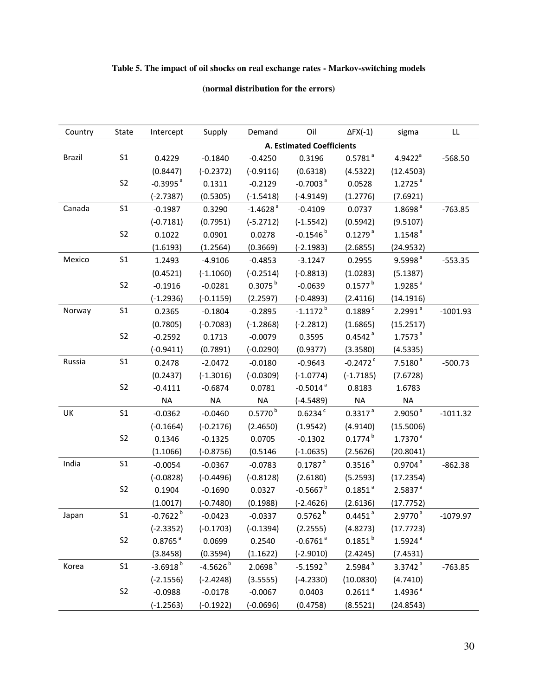# **Table 5. The impact of oil shocks on real exchange rates - Markov-switching models**

## **(normal distribution for the errors)**

| Country       | State          | Intercept              | Supply      | Demand                  | Oil                              | $\Delta$ FX(-1)        | sigma                 | LL         |
|---------------|----------------|------------------------|-------------|-------------------------|----------------------------------|------------------------|-----------------------|------------|
|               |                |                        |             |                         | <b>A. Estimated Coefficients</b> |                        |                       |            |
| <b>Brazil</b> | S <sub>1</sub> | 0.4229                 | $-0.1840$   | $-0.4250$               | 0.3196                           | $0.5781$ <sup>a</sup>  | $4.9422^a$            | $-568.50$  |
|               |                | (0.8447)               | $(-0.2372)$ | $(-0.9116)$             | (0.6318)                         | (4.5322)               | (12.4503)             |            |
|               | S <sub>2</sub> | $-0.3995$ <sup>a</sup> | 0.1311      | $-0.2129$               | $-0.7003$ <sup>a</sup>           | 0.0528                 | $1.2725$ <sup>a</sup> |            |
|               |                | $(-2.7387)$            | (0.5305)    | $(-1.5418)$             | $(-4.9149)$                      | (1.2776)               | (7.6921)              |            |
| Canada        | S <sub>1</sub> | $-0.1987$              | 0.3290      | $-1.4628$ <sup>a</sup>  | $-0.4109$                        | 0.0737                 | 1.8698 <sup>a</sup>   | $-763.85$  |
|               |                | $(-0.7181)$            | (0.7951)    | $(-5.2712)$             | $(-1.5542)$                      | (0.5942)               | (9.5107)              |            |
|               | S <sub>2</sub> | 0.1022                 | 0.0901      | 0.0278                  | $-0.1546^{b}$                    | $0.1279$ <sup>a</sup>  | $1.1548$ <sup>a</sup> |            |
|               |                | (1.6193)               | (1.2564)    | (0.3669)                | $(-2.1983)$                      | (2.6855)               | (24.9532)             |            |
| Mexico        | S <sub>1</sub> | 1.2493                 | $-4.9106$   | $-0.4853$               | $-3.1247$                        | 0.2955                 | 9.5998 <sup>a</sup>   | $-553.35$  |
|               |                | (0.4521)               | $(-1.1060)$ | $(-0.2514)$             | $(-0.8813)$                      | (1.0283)               | (5.1387)              |            |
|               | S <sub>2</sub> | $-0.1916$              | $-0.0281$   | $0.3075^{b}$            | $-0.0639$                        | $0.1577^{b}$           | $1.9285$ <sup>a</sup> |            |
|               |                | $(-1.2936)$            | $(-0.1159)$ | (2.2597)                | $(-0.4893)$                      | (2.4116)               | (14.1916)             |            |
| Norway        | S <sub>1</sub> | 0.2365                 | $-0.1804$   | $-0.2895$               | $-1.1172$ <sup>b</sup>           | $0.1889$ <sup>c</sup>  | $2.2991$ <sup>a</sup> | $-1001.93$ |
|               |                | (0.7805)               | $(-0.7083)$ | $(-1.2868)$             | $(-2.2812)$                      | (1.6865)               | (15.2517)             |            |
|               | S <sub>2</sub> | $-0.2592$              | 0.1713      | $-0.0079$               | 0.3595                           | $0.4542$ <sup>a</sup>  | $1.7573$ <sup>a</sup> |            |
|               |                | $(-0.9411)$            | (0.7891)    | $(-0.0290)$             | (0.9377)                         | (3.3580)               | (4.5335)              |            |
| Russia        | S <sub>1</sub> | 0.2478                 | $-2.0472$   | $-0.0180$               | $-0.9643$                        | $-0.2472$ <sup>c</sup> | 7.5180 <sup>a</sup>   | $-500.73$  |
|               |                | (0.2437)               | $(-1.3016)$ | $(-0.0309)$             | $(-1.0774)$                      | $(-1.7185)$            | (7.6728)              |            |
|               | S <sub>2</sub> | $-0.4111$              | $-0.6874$   | 0.0781                  | $-0.5014$ <sup>a</sup>           | 0.8183                 | 1.6783                |            |
|               |                | <b>NA</b>              | <b>NA</b>   | <b>NA</b>               | $(-4.5489)$                      | <b>NA</b>              | <b>NA</b>             |            |
| UK            | S <sub>1</sub> | $-0.0362$              | $-0.0460$   | $0.5770^{\,\mathrm{b}}$ | 0.6234c                          | $0.3317$ <sup>a</sup>  | $2.9050^{\text{a}}$   | $-1011.32$ |
|               |                | $(-0.1664)$            | $(-0.2176)$ | (2.4650)                | (1.9542)                         | (4.9140)               | (15.5006)             |            |
|               | S <sub>2</sub> | 0.1346                 | $-0.1325$   | 0.0705                  | $-0.1302$                        | $0.1774^{b}$           | $1.7370^{a}$          |            |
|               |                | (1.1066)               | $(-0.8756)$ | (0.5146)                | $(-1.0635)$                      | (2.5626)               | (20.8041)             |            |
| India         | S <sub>1</sub> | $-0.0054$              | $-0.0367$   | $-0.0783$               | $0.1787$ <sup>a</sup>            | $0.3516$ <sup>a</sup>  | $0.9704$ <sup>a</sup> | $-862.38$  |
|               |                | $(-0.0828)$            | $(-0.4496)$ | $(-0.8128)$             | (2.6180)                         | (5.2593)               | (17.2354)             |            |
|               | S <sub>2</sub> | 0.1904                 | $-0.1690$   | 0.0327                  | $-0.5667$ <sup>b</sup>           | $0.1851$ <sup>a</sup>  | 2.5837 <sup>a</sup>   |            |
|               |                | (1.0017)               | $(-0.7480)$ | (0.1988)                | $(-2.4626)$                      | (2.6136)               | (17.7752)             |            |
| Japan         | S <sub>1</sub> | $-0.7622$ <sup>b</sup> | $-0.0423$   | $-0.0337$               | 0.5762 <sup>b</sup>              | $0.4451$ <sup>a</sup>  | 2.9770 <sup>a</sup>   | $-1079.97$ |
|               |                | $(-2.3352)$            | $(-0.1703)$ | $(-0.1394)$             | (2.2555)                         | (4.8273)               | (17.7723)             |            |
|               | S <sub>2</sub> | $0.8765$ <sup>a</sup>  | 0.0699      | 0.2540                  | $-0.6761$ <sup>a</sup>           | $0.1851^{b}$           | $1.5924$ <sup>a</sup> |            |
|               |                | (3.8458)               | (0.3594)    | (1.1622)                | $(-2.9010)$                      | (2.4245)               | (7.4531)              |            |
| Korea         | S <sub>1</sub> | $-3.6918^{b}$          | $-4.5626b$  | 2.0698 <sup>a</sup>     | $-5.1592$ <sup>a</sup>           | 2.5984 <sup>a</sup>    | $3.3742$ <sup>a</sup> | $-763.85$  |
|               |                | $(-2.1556)$            | $(-2.4248)$ | (3.5555)                | $(-4.2330)$                      | (10.0830)              | (4.7410)              |            |
|               | S <sub>2</sub> | $-0.0988$              | $-0.0178$   | $-0.0067$               | 0.0403                           | $0.2611$ <sup>a</sup>  | 1.4936 <sup>a</sup>   |            |
|               |                | $(-1.2563)$            | $(-0.1922)$ | $(-0.0696)$             | (0.4758)                         | (8.5521)               | (24.8543)             |            |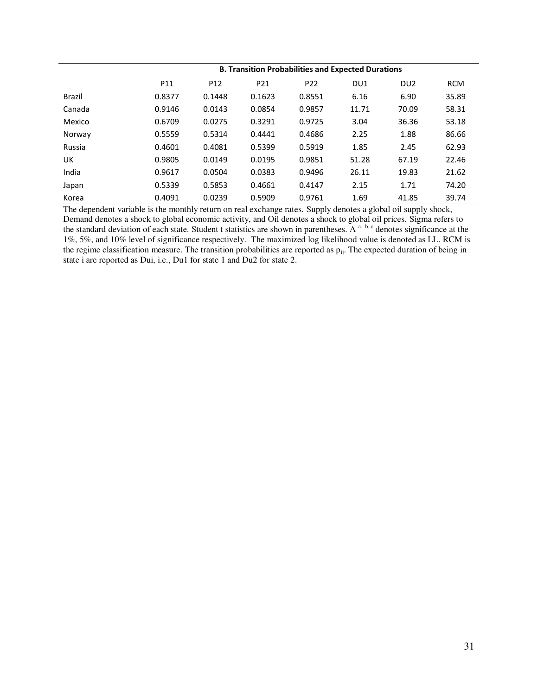|        | <b>B. Transition Probabilities and Expected Durations</b> |                 |                 |                 |       |                 |            |  |  |
|--------|-----------------------------------------------------------|-----------------|-----------------|-----------------|-------|-----------------|------------|--|--|
|        | P11                                                       | P <sub>12</sub> | P <sub>21</sub> | P <sub>22</sub> | DU1   | DU <sub>2</sub> | <b>RCM</b> |  |  |
| Brazil | 0.8377                                                    | 0.1448          | 0.1623          | 0.8551          | 6.16  | 6.90            | 35.89      |  |  |
| Canada | 0.9146                                                    | 0.0143          | 0.0854          | 0.9857          | 11.71 | 70.09           | 58.31      |  |  |
| Mexico | 0.6709                                                    | 0.0275          | 0.3291          | 0.9725          | 3.04  | 36.36           | 53.18      |  |  |
| Norway | 0.5559                                                    | 0.5314          | 0.4441          | 0.4686          | 2.25  | 1.88            | 86.66      |  |  |
| Russia | 0.4601                                                    | 0.4081          | 0.5399          | 0.5919          | 1.85  | 2.45            | 62.93      |  |  |
| UK     | 0.9805                                                    | 0.0149          | 0.0195          | 0.9851          | 51.28 | 67.19           | 22.46      |  |  |
| India  | 0.9617                                                    | 0.0504          | 0.0383          | 0.9496          | 26.11 | 19.83           | 21.62      |  |  |
| Japan  | 0.5339                                                    | 0.5853          | 0.4661          | 0.4147          | 2.15  | 1.71            | 74.20      |  |  |
| Korea  | 0.4091                                                    | 0.0239          | 0.5909          | 0.9761          | 1.69  | 41.85           | 39.74      |  |  |

The dependent variable is the monthly return on real exchange rates. Supply denotes a global oil supply shock, Demand denotes a shock to global economic activity, and Oil denotes a shock to global oil prices. Sigma refers to the standard deviation of each state. Student t statistics are shown in parentheses. A <sup>a, b, c</sup> denotes significance at the 1%, 5%, and 10% level of significance respectively. The maximized log likelihood value is denoted as LL. RCM is the regime classification measure. The transition probabilities are reported as  $p_{ij}$ . The expected duration of being in state i are reported as Dui, i.e., Du1 for state 1 and Du2 for state 2.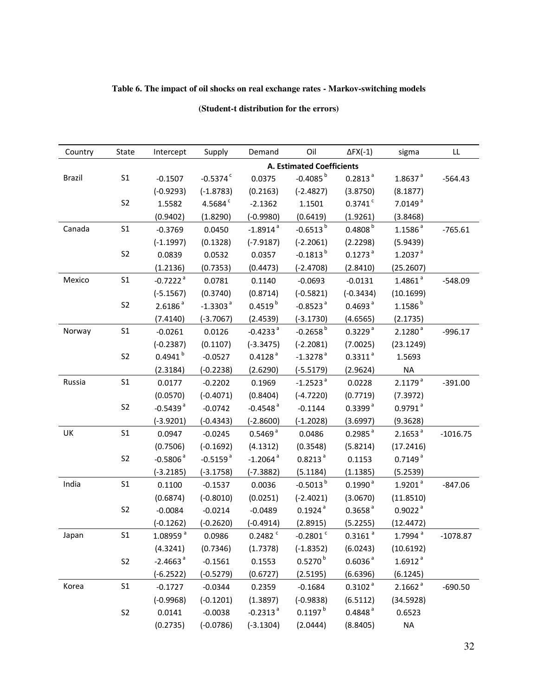## **Table 6. The impact of oil shocks on real exchange rates - Markov-switching models**

| Country       | State          | Intercept              | Supply                 | Demand                 | Oil                              | $\Delta$ FX(-1)       | sigma                 | LL         |
|---------------|----------------|------------------------|------------------------|------------------------|----------------------------------|-----------------------|-----------------------|------------|
|               |                |                        |                        |                        | <b>A. Estimated Coefficients</b> |                       |                       |            |
| <b>Brazil</b> | S <sub>1</sub> | $-0.1507$              | $-0.5374$ <sup>c</sup> | 0.0375                 | $-0.4085^{b}$                    | 0.2813 <sup>a</sup>   | $1.8637$ <sup>a</sup> | $-564.43$  |
|               |                | $(-0.9293)$            | $(-1.8783)$            | (0.2163)               | $(-2.4827)$                      | (3.8750)              | (8.1877)              |            |
|               | S <sub>2</sub> | 1.5582                 | 4.5684 <sup>c</sup>    | $-2.1362$              | 1.1501                           | $0.3741$ <sup>c</sup> | 7.0149 <sup>a</sup>   |            |
|               |                | (0.9402)               | (1.8290)               | $(-0.9980)$            | (0.6419)                         | (1.9261)              | (3.8468)              |            |
| Canada        | S <sub>1</sub> | $-0.3769$              | 0.0450                 | $-1.8914$ <sup>a</sup> | $-0.6513^{b}$                    | 0.4808 <sup>b</sup>   | $1.1586$ <sup>a</sup> | $-765.61$  |
|               |                | $(-1.1997)$            | (0.1328)               | $(-7.9187)$            | $(-2.2061)$                      | (2.2298)              | (5.9439)              |            |
|               | S <sub>2</sub> | 0.0839                 | 0.0532                 | 0.0357                 | $-0.1813^{b}$                    | $0.1273$ <sup>a</sup> | $1.2037$ <sup>a</sup> |            |
|               |                | (1.2136)               | (0.7353)               | (0.4473)               | $(-2.4708)$                      | (2.8410)              | (25.2607)             |            |
| Mexico        | S <sub>1</sub> | $-0.7222$ <sup>a</sup> | 0.0781                 | 0.1140                 | $-0.0693$                        | $-0.0131$             | $1.4861$ <sup>a</sup> | $-548.09$  |
|               |                | $(-5.1567)$            | (0.3740)               | (0.8714)               | $(-0.5821)$                      | $(-0.3434)$           | (10.1699)             |            |
|               | S <sub>2</sub> | 2.6186 <sup>a</sup>    | $-1.3303$ <sup>a</sup> | $0.4519^{b}$           | $-0.8523$ <sup>a</sup>           | 0.4693 <sup>a</sup>   | $1.1586^{b}$          |            |
|               |                | (7.4140)               | $(-3.7067)$            | (2.4539)               | $(-3.1730)$                      | (4.6565)              | (2.1735)              |            |
| Norway        | S <sub>1</sub> | $-0.0261$              | 0.0126                 | $-0.4233$ <sup>a</sup> | $-0.2658^{b}$                    | 0.3229 <sup>a</sup>   | 2.1280 <sup>a</sup>   | $-996.17$  |
|               |                | $(-0.2387)$            | (0.1107)               | $(-3.3475)$            | $(-2.2081)$                      | (7.0025)              | (23.1249)             |            |
|               | S <sub>2</sub> | $0.4941^{b}$           | $-0.0527$              | $0.4128$ <sup>a</sup>  | $-1.3278$ <sup>a</sup>           | $0.3311$ <sup>a</sup> | 1.5693                |            |
|               |                | (2.3184)               | $(-0.2238)$            | (2.6290)               | $(-5.5179)$                      | (2.9624)              | <b>NA</b>             |            |
| Russia        | S <sub>1</sub> | 0.0177                 | $-0.2202$              | 0.1969                 | $-1.2523$ <sup>a</sup>           | 0.0228                | 2.1179 <sup>a</sup>   | $-391.00$  |
|               |                | (0.0570)               | $(-0.4071)$            | (0.8404)               | $(-4.7220)$                      | (0.7719)              | (7.3972)              |            |
|               | S <sub>2</sub> | $-0.5439$ <sup>a</sup> | $-0.0742$              | $-0.4548$ <sup>a</sup> | $-0.1144$                        | 0.3399 <sup>a</sup>   | $0.9791$ <sup>a</sup> |            |
|               |                | $(-3.9201)$            | $(-0.4343)$            | $(-2.8600)$            | $(-1.2028)$                      | (3.6997)              | (9.3628)              |            |
| UK            | S <sub>1</sub> | 0.0947                 | $-0.0245$              | 0.5469 <sup>a</sup>    | 0.0486                           | $0.2985$ <sup>a</sup> | 2.1653 <sup>a</sup>   | $-1016.75$ |
|               |                | (0.7506)               | $(-0.1692)$            | (4.1312)               | (0.3548)                         | (5.8214)              | (17.2416)             |            |
|               | S <sub>2</sub> | $-0.5806$ <sup>a</sup> | $-0.5159$ <sup>a</sup> | $-1.2064$ <sup>a</sup> | $0.8213$ <sup>a</sup>            | 0.1153                | $0.7149$ <sup>a</sup> |            |
|               |                | $(-3.2185)$            | $(-3.1758)$            | $(-7.3882)$            | (5.1184)                         | (1.1385)              | (5.2539)              |            |
| India         | S <sub>1</sub> | 0.1100                 | $-0.1537$              | 0.0036                 | $-0.5013^{b}$                    | $0.1990^{\text{a}}$   | $1.9201$ <sup>a</sup> | $-847.06$  |
|               |                | (0.6874)               | $(-0.8010)$            | (0.0251)               | $(-2.4021)$                      | (3.0670)              | (11.8510)             |            |
|               | S <sub>2</sub> | $-0.0084$              | $-0.0214$              | $-0.0489$              | $0.1924$ <sup>a</sup>            | 0.3658 <sup>a</sup>   | $0.9022$ <sup>a</sup> |            |
|               |                | $(-0.1262)$            | $(-0.2620)$            | $(-0.4914)$            | (2.8915)                         | (5.2255)              | (12.4472)             |            |
| Japan         | S <sub>1</sub> | 1.08959 <sup>a</sup>   | 0.0986                 | $0.2482$ <sup>c</sup>  | $-0.2801$ <sup>c</sup>           | $0.3161$ <sup>a</sup> | 1.7994 <sup>a</sup>   | $-10/8.8/$ |
|               |                | (4.3241)               | (0.7346)               | (1.7378)               | $(-1.8352)$                      | (6.0243)              | (10.6192)             |            |
|               | S <sub>2</sub> | $-2.4663$ <sup>a</sup> | $-0.1561$              | 0.1553                 | $0.5270^{b}$                     | 0.6036 <sup>a</sup>   | $1.6912$ <sup>a</sup> |            |
|               |                | $(-6.2522)$            | $(-0.5279)$            | (0.6727)               | (2.5195)                         | (6.6396)              | (6.1245)              |            |
| Korea         | S <sub>1</sub> | $-0.1727$              | $-0.0344$              | 0.2359                 | $-0.1684$                        | $0.3102$ <sup>a</sup> | 2.1662 <sup>a</sup>   | $-690.50$  |
|               |                | $(-0.9968)$            | $(-0.1201)$            | (1.3897)               | $(-0.9838)$                      | (6.5112)              | (34.5928)             |            |
|               | S <sub>2</sub> | 0.0141                 | $-0.0038$              | $-0.2313$ <sup>a</sup> | $0.1197^{b}$                     | 0.4848 <sup>a</sup>   | 0.6523                |            |
|               |                | (0.2735)               | $(-0.0786)$            | $(-3.1304)$            | (2.0444)                         | (8.8405)              | <b>NA</b>             |            |

## **(Student-t distribution for the errors)**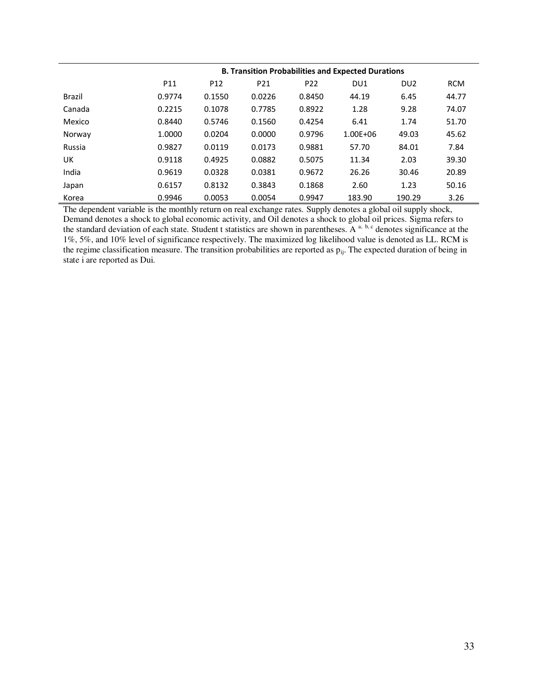|               | <b>B. Transition Probabilities and Expected Durations</b> |                 |                 |                 |                 |                 |            |  |  |
|---------------|-----------------------------------------------------------|-----------------|-----------------|-----------------|-----------------|-----------------|------------|--|--|
|               | P11                                                       | P <sub>12</sub> | P <sub>21</sub> | P <sub>22</sub> | DU <sub>1</sub> | DU <sub>2</sub> | <b>RCM</b> |  |  |
| <b>Brazil</b> | 0.9774                                                    | 0.1550          | 0.0226          | 0.8450          | 44.19           | 6.45            | 44.77      |  |  |
| Canada        | 0.2215                                                    | 0.1078          | 0.7785          | 0.8922          | 1.28            | 9.28            | 74.07      |  |  |
| Mexico        | 0.8440                                                    | 0.5746          | 0.1560          | 0.4254          | 6.41            | 1.74            | 51.70      |  |  |
| Norway        | 1.0000                                                    | 0.0204          | 0.0000          | 0.9796          | $1.00E + 06$    | 49.03           | 45.62      |  |  |
| Russia        | 0.9827                                                    | 0.0119          | 0.0173          | 0.9881          | 57.70           | 84.01           | 7.84       |  |  |
| UK            | 0.9118                                                    | 0.4925          | 0.0882          | 0.5075          | 11.34           | 2.03            | 39.30      |  |  |
| India         | 0.9619                                                    | 0.0328          | 0.0381          | 0.9672          | 26.26           | 30.46           | 20.89      |  |  |
| Japan         | 0.6157                                                    | 0.8132          | 0.3843          | 0.1868          | 2.60            | 1.23            | 50.16      |  |  |
| Korea         | 0.9946                                                    | 0.0053          | 0.0054          | 0.9947          | 183.90          | 190.29          | 3.26       |  |  |

The dependent variable is the monthly return on real exchange rates. Supply denotes a global oil supply shock, Demand denotes a shock to global economic activity, and Oil denotes a shock to global oil prices. Sigma refers to the standard deviation of each state. Student t statistics are shown in parentheses. A <sup>a, b, c</sup> denotes significance at the 1%, 5%, and 10% level of significance respectively. The maximized log likelihood value is denoted as LL. RCM is the regime classification measure. The transition probabilities are reported as  $p_{ij}$ . The expected duration of being in state i are reported as Dui.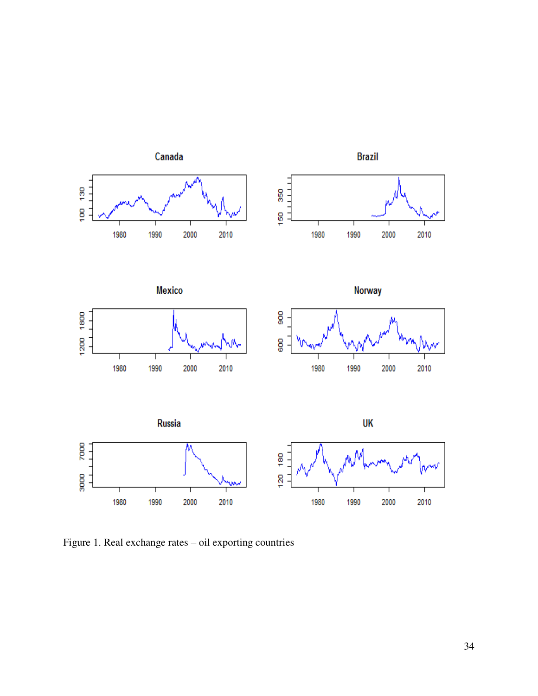

Figure 1. Real exchange rates – oil exporting countries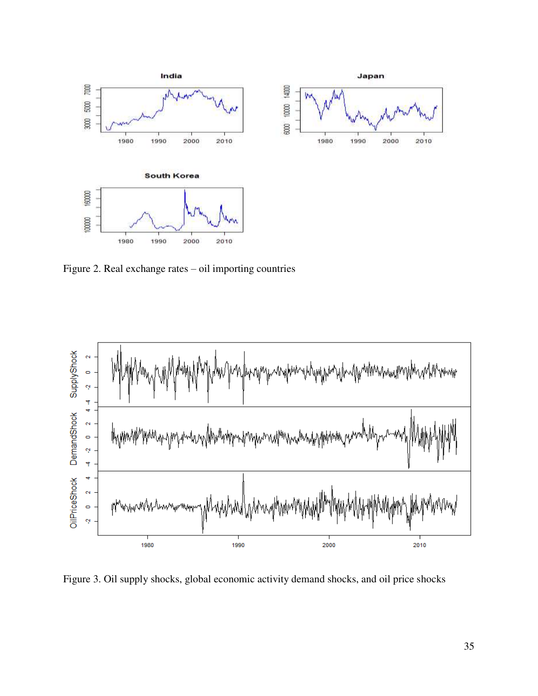

Figure 2. Real exchange rates – oil importing countries



Figure 3. Oil supply shocks, global economic activity demand shocks, and oil price shocks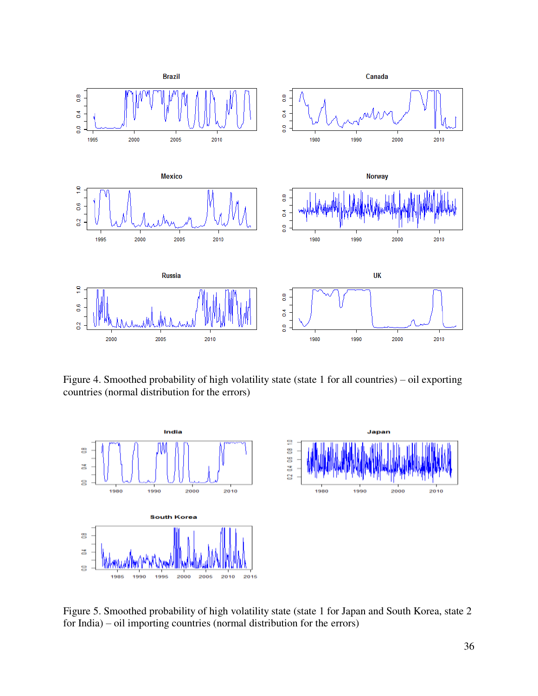

Figure 4. Smoothed probability of high volatility state (state 1 for all countries) – oil exporting countries (normal distribution for the errors)



Figure 5. Smoothed probability of high volatility state (state 1 for Japan and South Korea, state 2 for India) – oil importing countries (normal distribution for the errors)